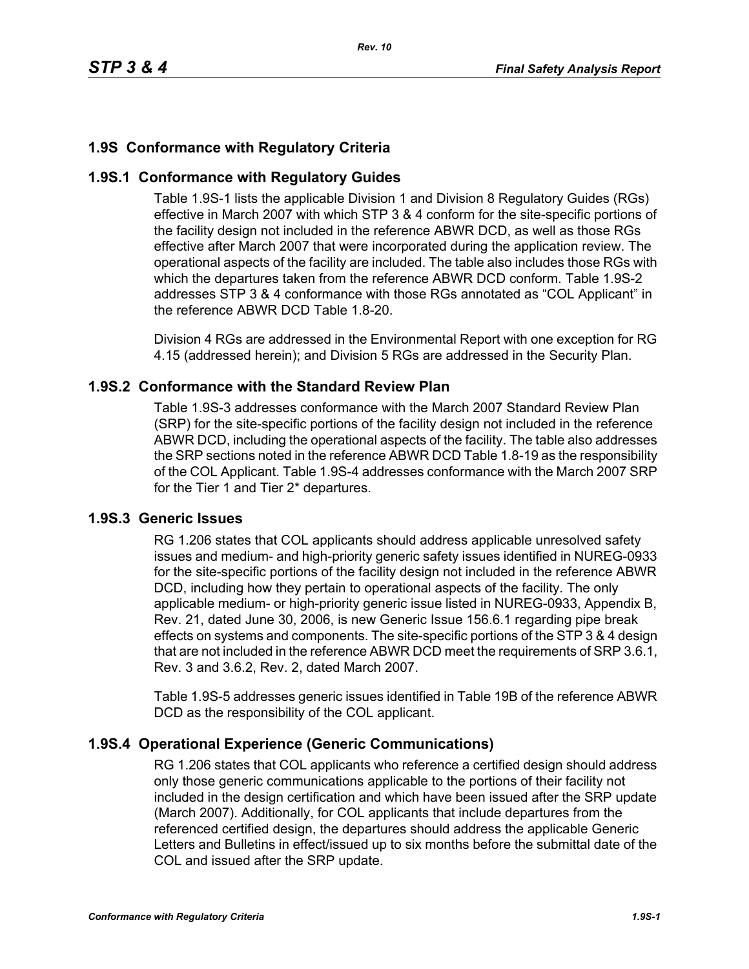## **1.9S Conformance with Regulatory Criteria**

### **1.9S.1 Conformance with Regulatory Guides**

Table 1.9S-1 lists the applicable Division 1 and Division 8 Regulatory Guides (RGs) effective in March 2007 with which STP 3 & 4 conform for the site-specific portions of the facility design not included in the reference ABWR DCD, as well as those RGs effective after March 2007 that were incorporated during the application review. The operational aspects of the facility are included. The table also includes those RGs with which the departures taken from the reference ABWR DCD conform. Table 1.9S-2 addresses STP 3 & 4 conformance with those RGs annotated as "COL Applicant" in the reference ABWR DCD Table 1.8-20.

Division 4 RGs are addressed in the Environmental Report with one exception for RG 4.15 (addressed herein); and Division 5 RGs are addressed in the Security Plan.

### **1.9S.2 Conformance with the Standard Review Plan**

Table 1.9S-3 addresses conformance with the March 2007 Standard Review Plan (SRP) for the site-specific portions of the facility design not included in the reference ABWR DCD, including the operational aspects of the facility. The table also addresses the SRP sections noted in the reference ABWR DCD Table 1.8-19 as the responsibility of the COL Applicant. Table 1.9S-4 addresses conformance with the March 2007 SRP for the Tier 1 and Tier 2\* departures.

### **1.9S.3 Generic Issues**

RG 1.206 states that COL applicants should address applicable unresolved safety issues and medium- and high-priority generic safety issues identified in NUREG-0933 for the site-specific portions of the facility design not included in the reference ABWR DCD, including how they pertain to operational aspects of the facility. The only applicable medium- or high-priority generic issue listed in NUREG-0933, Appendix B, Rev. 21, dated June 30, 2006, is new Generic Issue 156.6.1 regarding pipe break effects on systems and components. The site-specific portions of the STP 3 & 4 design that are not included in the reference ABWR DCD meet the requirements of SRP 3.6.1, Rev. 3 and 3.6.2, Rev. 2, dated March 2007.

Table 1.9S-5 addresses generic issues identified in Table 19B of the reference ABWR DCD as the responsibility of the COL applicant.

### **1.9S.4 Operational Experience (Generic Communications)**

RG 1.206 states that COL applicants who reference a certified design should address only those generic communications applicable to the portions of their facility not included in the design certification and which have been issued after the SRP update (March 2007). Additionally, for COL applicants that include departures from the referenced certified design, the departures should address the applicable Generic Letters and Bulletins in effect/issued up to six months before the submittal date of the COL and issued after the SRP update.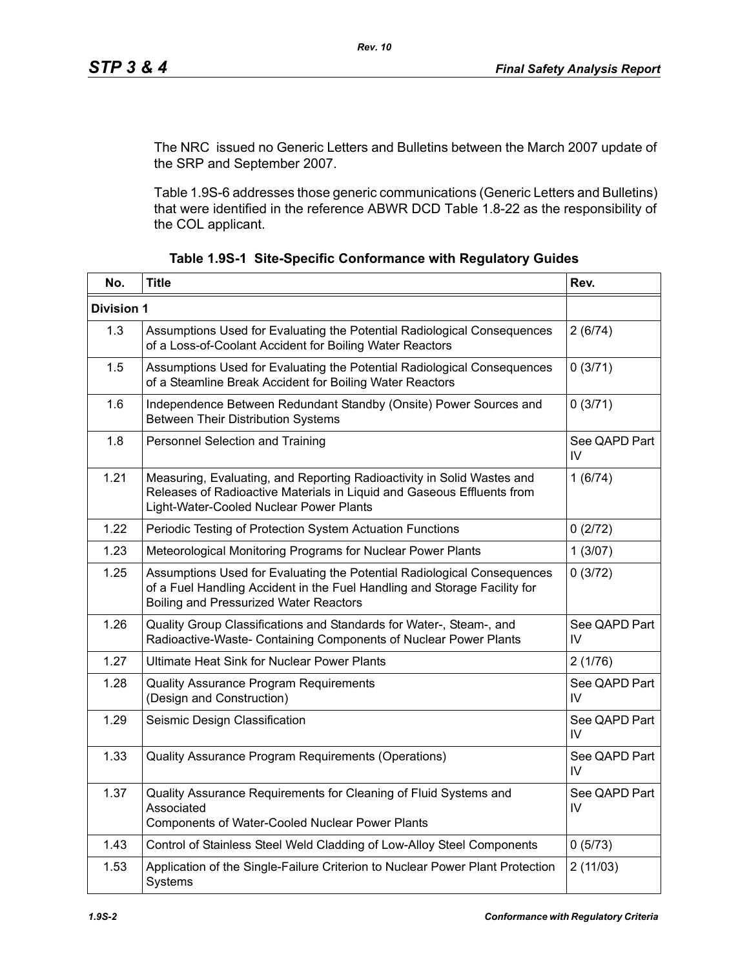The NRC issued no Generic Letters and Bulletins between the March 2007 update of the SRP and September 2007.

Table 1.9S-6 addresses those generic communications (Generic Letters and Bulletins) that were identified in the reference ABWR DCD Table 1.8-22 as the responsibility of the COL applicant.

| No.               | <b>Title</b>                                                                                                                                                                                          | Rev.                |
|-------------------|-------------------------------------------------------------------------------------------------------------------------------------------------------------------------------------------------------|---------------------|
| <b>Division 1</b> |                                                                                                                                                                                                       |                     |
| 1.3               | Assumptions Used for Evaluating the Potential Radiological Consequences<br>of a Loss-of-Coolant Accident for Boiling Water Reactors                                                                   | 2(6/74)             |
| 1.5               | Assumptions Used for Evaluating the Potential Radiological Consequences<br>of a Steamline Break Accident for Boiling Water Reactors                                                                   | 0(3/71)             |
| 1.6               | Independence Between Redundant Standby (Onsite) Power Sources and<br><b>Between Their Distribution Systems</b>                                                                                        | 0(3/71)             |
| 1.8               | Personnel Selection and Training                                                                                                                                                                      | See QAPD Part<br>IV |
| 1.21              | Measuring, Evaluating, and Reporting Radioactivity in Solid Wastes and<br>Releases of Radioactive Materials in Liquid and Gaseous Effluents from<br>Light-Water-Cooled Nuclear Power Plants           | 1(6/74)             |
| 1.22              | Periodic Testing of Protection System Actuation Functions                                                                                                                                             | 0(2/72)             |
| 1.23              | Meteorological Monitoring Programs for Nuclear Power Plants                                                                                                                                           | 1(3/07)             |
| 1.25              | Assumptions Used for Evaluating the Potential Radiological Consequences<br>of a Fuel Handling Accident in the Fuel Handling and Storage Facility for<br><b>Boiling and Pressurized Water Reactors</b> | 0(3/72)             |
| 1.26              | Quality Group Classifications and Standards for Water-, Steam-, and<br>Radioactive-Waste- Containing Components of Nuclear Power Plants                                                               | See QAPD Part<br>IV |
| 1.27              | Ultimate Heat Sink for Nuclear Power Plants                                                                                                                                                           | 2(1/76)             |
| 1.28              | Quality Assurance Program Requirements<br>(Design and Construction)                                                                                                                                   | See QAPD Part<br>IV |
| 1.29              | Seismic Design Classification                                                                                                                                                                         | See QAPD Part<br>IV |
| 1.33              | Quality Assurance Program Requirements (Operations)                                                                                                                                                   | See QAPD Part<br>IV |
| 1.37              | Quality Assurance Requirements for Cleaning of Fluid Systems and<br>Associated<br>Components of Water-Cooled Nuclear Power Plants                                                                     | See QAPD Part<br>IV |
| 1.43              | Control of Stainless Steel Weld Cladding of Low-Alloy Steel Components                                                                                                                                | 0(5/73)             |
| 1.53              | Application of the Single-Failure Criterion to Nuclear Power Plant Protection<br>Systems                                                                                                              | 2(11/03)            |

|  |  | Table 1.9S-1 Site-Specific Conformance with Regulatory Guides |  |  |
|--|--|---------------------------------------------------------------|--|--|
|--|--|---------------------------------------------------------------|--|--|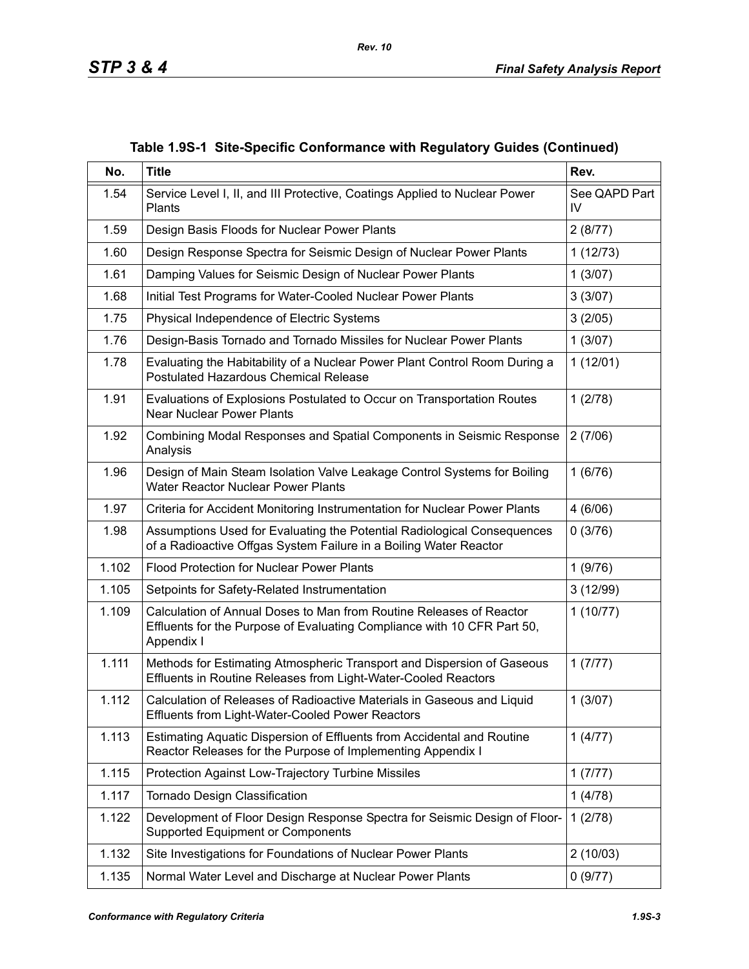| No.   | <b>Title</b>                                                                                                                                                 | Rev.                |
|-------|--------------------------------------------------------------------------------------------------------------------------------------------------------------|---------------------|
| 1.54  | Service Level I, II, and III Protective, Coatings Applied to Nuclear Power<br>Plants                                                                         | See QAPD Part<br>IV |
| 1.59  | Design Basis Floods for Nuclear Power Plants                                                                                                                 | 2(8/77)             |
| 1.60  | Design Response Spectra for Seismic Design of Nuclear Power Plants                                                                                           | 1(12/73)            |
| 1.61  | Damping Values for Seismic Design of Nuclear Power Plants                                                                                                    | 1(3/07)             |
| 1.68  | Initial Test Programs for Water-Cooled Nuclear Power Plants                                                                                                  | 3(3/07)             |
| 1.75  | Physical Independence of Electric Systems                                                                                                                    | 3(2/05)             |
| 1.76  | Design-Basis Tornado and Tornado Missiles for Nuclear Power Plants                                                                                           | 1(3/07)             |
| 1.78  | Evaluating the Habitability of a Nuclear Power Plant Control Room During a<br>Postulated Hazardous Chemical Release                                          | 1(12/01)            |
| 1.91  | Evaluations of Explosions Postulated to Occur on Transportation Routes<br><b>Near Nuclear Power Plants</b>                                                   | 1(2/78)             |
| 1.92  | Combining Modal Responses and Spatial Components in Seismic Response<br>Analysis                                                                             | 2(7/06)             |
| 1.96  | Design of Main Steam Isolation Valve Leakage Control Systems for Boiling<br>Water Reactor Nuclear Power Plants                                               | 1(6/76)             |
| 1.97  | Criteria for Accident Monitoring Instrumentation for Nuclear Power Plants                                                                                    | 4(6/06)             |
| 1.98  | Assumptions Used for Evaluating the Potential Radiological Consequences<br>of a Radioactive Offgas System Failure in a Boiling Water Reactor                 | 0(3/76)             |
| 1.102 | <b>Flood Protection for Nuclear Power Plants</b>                                                                                                             | 1(9/76)             |
| 1.105 | Setpoints for Safety-Related Instrumentation                                                                                                                 | 3(12/99)            |
| 1.109 | Calculation of Annual Doses to Man from Routine Releases of Reactor<br>Effluents for the Purpose of Evaluating Compliance with 10 CFR Part 50,<br>Appendix I | 1(10/77)            |
| 1.111 | Methods for Estimating Atmospheric Transport and Dispersion of Gaseous<br>Effluents in Routine Releases from Light-Water-Cooled Reactors                     | 1(7/77)             |
| 1.112 | Calculation of Releases of Radioactive Materials in Gaseous and Liquid<br>Effluents from Light-Water-Cooled Power Reactors                                   | 1(3/07)             |
| 1.113 | Estimating Aquatic Dispersion of Effluents from Accidental and Routine<br>Reactor Releases for the Purpose of Implementing Appendix I                        | 1(4/77)             |
| 1.115 | Protection Against Low-Trajectory Turbine Missiles                                                                                                           | 1(7/77)             |
| 1.117 | Tornado Design Classification                                                                                                                                | 1(4/78)             |
| 1.122 | Development of Floor Design Response Spectra for Seismic Design of Floor-<br>Supported Equipment or Components                                               | 1(2/78)             |
| 1.132 | Site Investigations for Foundations of Nuclear Power Plants                                                                                                  | 2(10/03)            |
| 1.135 | Normal Water Level and Discharge at Nuclear Power Plants                                                                                                     | 0(9/77)             |

**Table 1.9S-1 Site-Specific Conformance with Regulatory Guides (Continued)**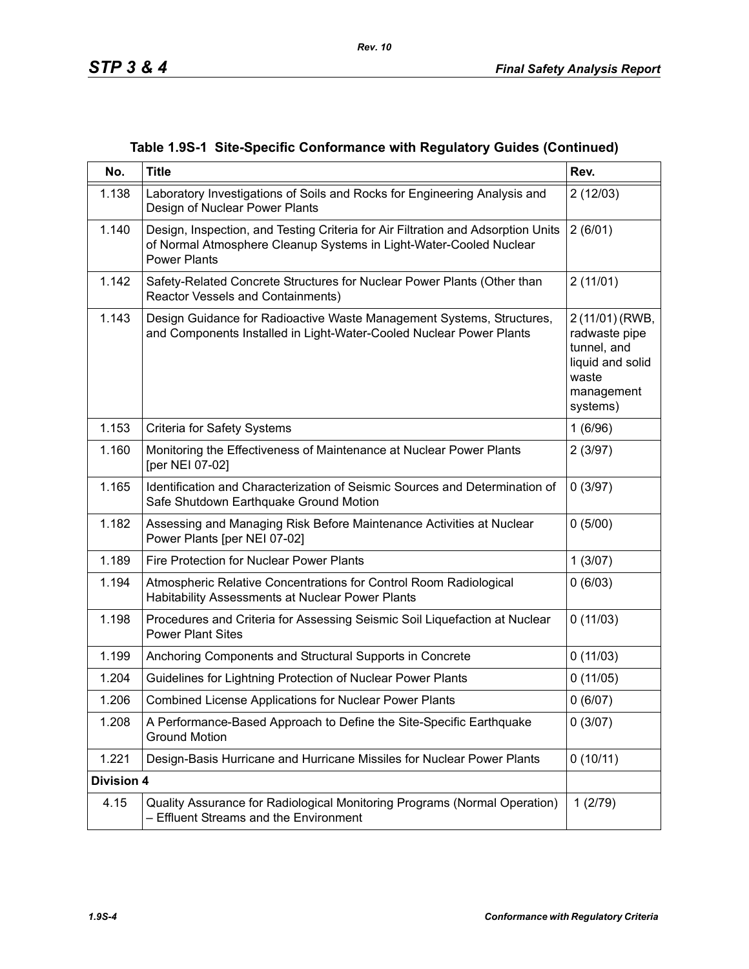|  |  |  |  | Table 1.9S-1 Site-Specific Conformance with Regulatory Guides (Continued) |
|--|--|--|--|---------------------------------------------------------------------------|
|--|--|--|--|---------------------------------------------------------------------------|

| No.               | <b>Title</b>                                                                                                                                                                  | Rev.                                                                                                   |
|-------------------|-------------------------------------------------------------------------------------------------------------------------------------------------------------------------------|--------------------------------------------------------------------------------------------------------|
| 1.138             | Laboratory Investigations of Soils and Rocks for Engineering Analysis and<br>Design of Nuclear Power Plants                                                                   | 2(12/03)                                                                                               |
| 1.140             | Design, Inspection, and Testing Criteria for Air Filtration and Adsorption Units<br>of Normal Atmosphere Cleanup Systems in Light-Water-Cooled Nuclear<br><b>Power Plants</b> | 2(6/01)                                                                                                |
| 1.142             | Safety-Related Concrete Structures for Nuclear Power Plants (Other than<br>Reactor Vessels and Containments)                                                                  | 2(11/01)                                                                                               |
| 1.143             | Design Guidance for Radioactive Waste Management Systems, Structures,<br>and Components Installed in Light-Water-Cooled Nuclear Power Plants                                  | 2 (11/01) (RWB,<br>radwaste pipe<br>tunnel, and<br>liquid and solid<br>waste<br>management<br>systems) |
| 1.153             | <b>Criteria for Safety Systems</b>                                                                                                                                            | 1(6/96)                                                                                                |
| 1.160             | Monitoring the Effectiveness of Maintenance at Nuclear Power Plants<br>[per NEI 07-02]                                                                                        | 2(3/97)                                                                                                |
| 1.165             | Identification and Characterization of Seismic Sources and Determination of<br>Safe Shutdown Earthquake Ground Motion                                                         | 0(3/97)                                                                                                |
| 1.182             | Assessing and Managing Risk Before Maintenance Activities at Nuclear<br>Power Plants [per NEI 07-02]                                                                          | 0(5/00)                                                                                                |
| 1.189             | Fire Protection for Nuclear Power Plants                                                                                                                                      | 1(3/07)                                                                                                |
| 1.194             | Atmospheric Relative Concentrations for Control Room Radiological<br>Habitability Assessments at Nuclear Power Plants                                                         | 0(6/03)                                                                                                |
| 1.198             | Procedures and Criteria for Assessing Seismic Soil Liquefaction at Nuclear<br><b>Power Plant Sites</b>                                                                        | 0(11/03)                                                                                               |
| 1.199             | Anchoring Components and Structural Supports in Concrete                                                                                                                      | 0(11/03)                                                                                               |
| 1.204             | Guidelines for Lightning Protection of Nuclear Power Plants                                                                                                                   | 0(11/05)                                                                                               |
| 1.206             | Combined License Applications for Nuclear Power Plants                                                                                                                        | 0(6/07)                                                                                                |
| 1.208             | A Performance-Based Approach to Define the Site-Specific Earthquake<br><b>Ground Motion</b>                                                                                   | 0(3/07)                                                                                                |
| 1.221             | Design-Basis Hurricane and Hurricane Missiles for Nuclear Power Plants                                                                                                        | 0(10/11)                                                                                               |
| <b>Division 4</b> |                                                                                                                                                                               |                                                                                                        |
| 4.15              | Quality Assurance for Radiological Monitoring Programs (Normal Operation)<br>- Effluent Streams and the Environment                                                           | 1(2/79)                                                                                                |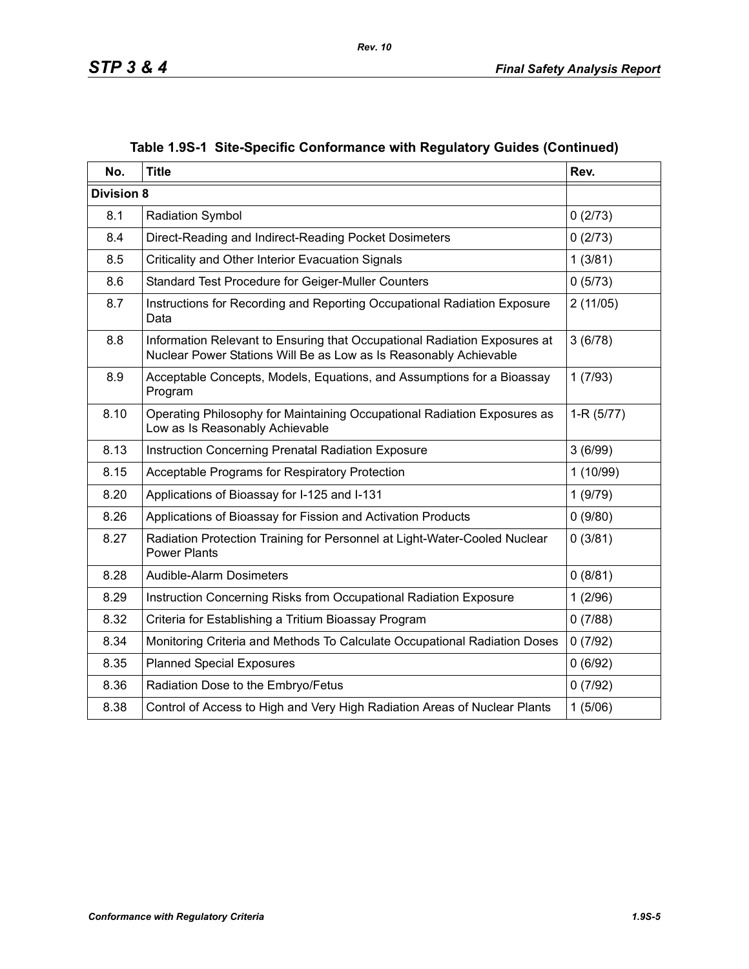| No.               | <b>Title</b>                                                                                                                                   | Rev.        |
|-------------------|------------------------------------------------------------------------------------------------------------------------------------------------|-------------|
| <b>Division 8</b> |                                                                                                                                                |             |
| 8.1               | <b>Radiation Symbol</b>                                                                                                                        | 0(2/73)     |
| 8.4               | Direct-Reading and Indirect-Reading Pocket Dosimeters                                                                                          | 0(2/73)     |
| 8.5               | Criticality and Other Interior Evacuation Signals                                                                                              | 1(3/81)     |
| 8.6               | Standard Test Procedure for Geiger-Muller Counters                                                                                             | 0(5/73)     |
| 8.7               | Instructions for Recording and Reporting Occupational Radiation Exposure<br>Data                                                               | 2(11/05)    |
| 8.8               | Information Relevant to Ensuring that Occupational Radiation Exposures at<br>Nuclear Power Stations Will Be as Low as Is Reasonably Achievable | 3(6/78)     |
| 8.9               | Acceptable Concepts, Models, Equations, and Assumptions for a Bioassay<br>Program                                                              | 1(7/93)     |
| 8.10              | Operating Philosophy for Maintaining Occupational Radiation Exposures as<br>Low as Is Reasonably Achievable                                    | $1-R(5/77)$ |
| 8.13              | Instruction Concerning Prenatal Radiation Exposure                                                                                             | 3(6/99)     |
| 8.15              | Acceptable Programs for Respiratory Protection                                                                                                 | 1(10/99)    |
| 8.20              | Applications of Bioassay for I-125 and I-131                                                                                                   | 1(9/79)     |
| 8.26              | Applications of Bioassay for Fission and Activation Products                                                                                   | 0(9/80)     |
| 8.27              | Radiation Protection Training for Personnel at Light-Water-Cooled Nuclear<br><b>Power Plants</b>                                               | 0(3/81)     |
| 8.28              | Audible-Alarm Dosimeters                                                                                                                       | 0(8/81)     |
| 8.29              | Instruction Concerning Risks from Occupational Radiation Exposure                                                                              | 1(2/96)     |
| 8.32              | Criteria for Establishing a Tritium Bioassay Program                                                                                           | 0(7/88)     |
| 8.34              | Monitoring Criteria and Methods To Calculate Occupational Radiation Doses                                                                      | 0(7/92)     |
| 8.35              | <b>Planned Special Exposures</b>                                                                                                               | 0(6/92)     |
| 8.36              | Radiation Dose to the Embryo/Fetus                                                                                                             | 0(7/92)     |
| 8.38              | Control of Access to High and Very High Radiation Areas of Nuclear Plants                                                                      | 1(5/06)     |

## **Table 1.9S-1 Site-Specific Conformance with Regulatory Guides (Continued)**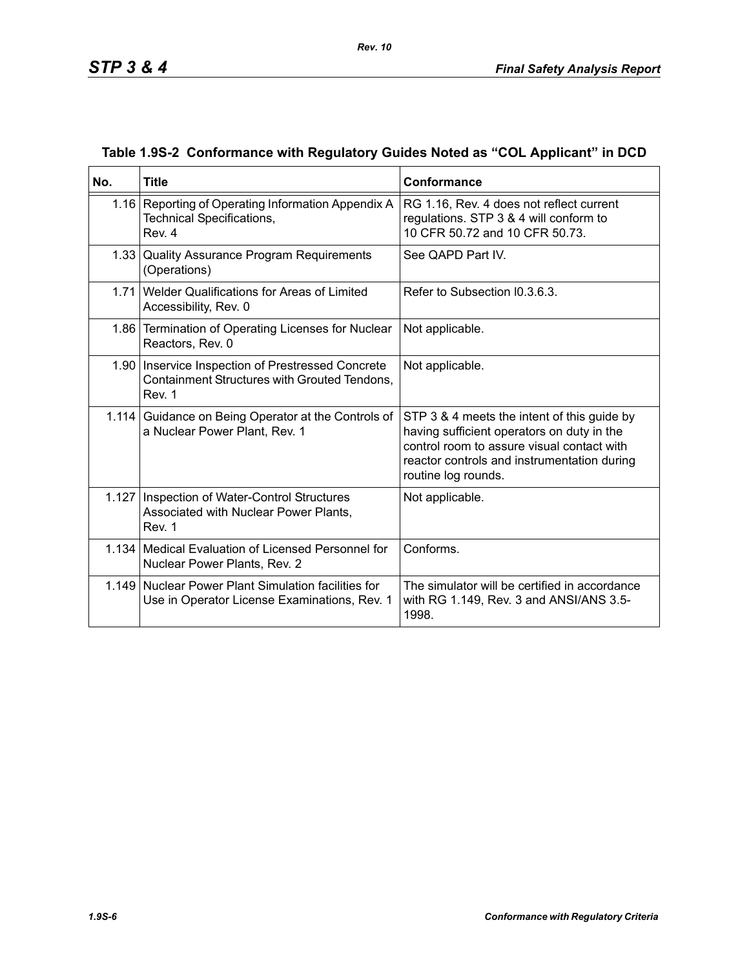| No.   | <b>Title</b>                                                                                                  | Conformance                                                                                                                                                                                                   |
|-------|---------------------------------------------------------------------------------------------------------------|---------------------------------------------------------------------------------------------------------------------------------------------------------------------------------------------------------------|
|       | 1.16 Reporting of Operating Information Appendix A<br><b>Technical Specifications,</b><br>Rev. 4              | RG 1.16, Rev. 4 does not reflect current<br>regulations. STP 3 & 4 will conform to<br>10 CFR 50.72 and 10 CFR 50.73.                                                                                          |
|       | 1.33 Quality Assurance Program Requirements<br>(Operations)                                                   | See QAPD Part IV.                                                                                                                                                                                             |
|       | 1.71 Welder Qualifications for Areas of Limited<br>Accessibility, Rev. 0                                      | Refer to Subsection I0.3.6.3.                                                                                                                                                                                 |
|       | 1.86 Termination of Operating Licenses for Nuclear<br>Reactors, Rev. 0                                        | Not applicable.                                                                                                                                                                                               |
|       | 1.90   Inservice Inspection of Prestressed Concrete<br>Containment Structures with Grouted Tendons,<br>Rev. 1 | Not applicable.                                                                                                                                                                                               |
| 1.114 | Guidance on Being Operator at the Controls of<br>a Nuclear Power Plant, Rev. 1                                | STP 3 & 4 meets the intent of this guide by<br>having sufficient operators on duty in the<br>control room to assure visual contact with<br>reactor controls and instrumentation during<br>routine log rounds. |
|       | 1.127   Inspection of Water-Control Structures<br>Associated with Nuclear Power Plants,<br>Rev. 1             | Not applicable.                                                                                                                                                                                               |
|       | 1.134   Medical Evaluation of Licensed Personnel for<br>Nuclear Power Plants, Rev. 2                          | Conforms.                                                                                                                                                                                                     |
|       | 1.149 Nuclear Power Plant Simulation facilities for<br>Use in Operator License Examinations, Rev. 1           | The simulator will be certified in accordance<br>with RG 1.149, Rev. 3 and ANSI/ANS 3.5-<br>1998.                                                                                                             |

## **Table 1.9S-2 Conformance with Regulatory Guides Noted as "COL Applicant" in DCD**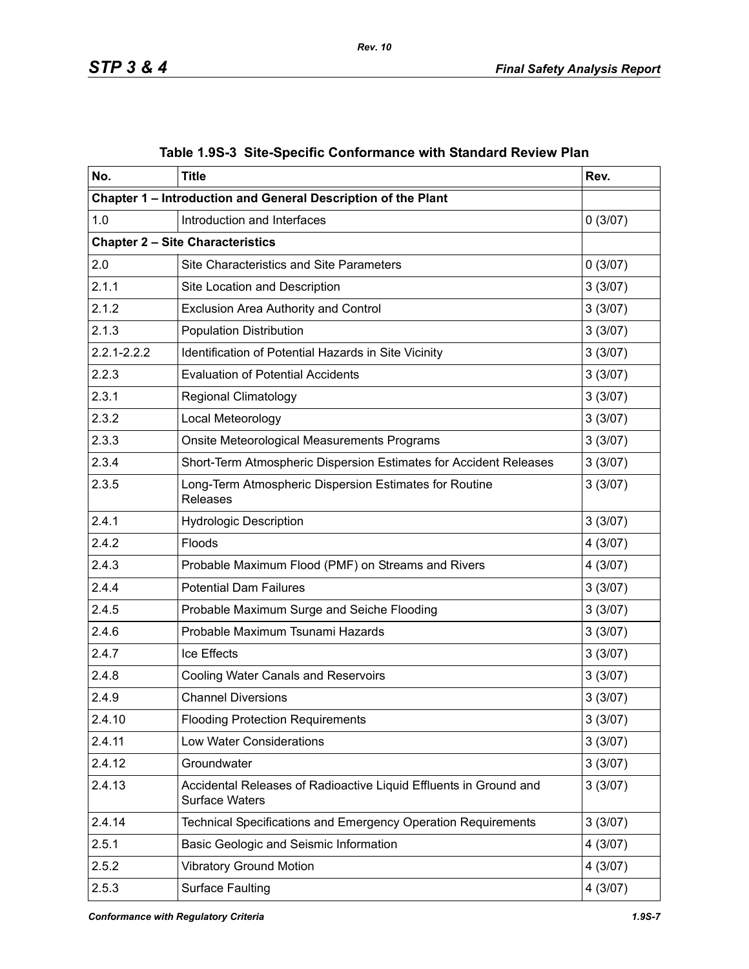| No.             | <b>Title</b>                                                                               | Rev.     |
|-----------------|--------------------------------------------------------------------------------------------|----------|
|                 | Chapter 1 - Introduction and General Description of the Plant                              |          |
| 1.0             | Introduction and Interfaces                                                                | 0(3/07)  |
|                 | <b>Chapter 2 - Site Characteristics</b>                                                    |          |
| 2.0             | Site Characteristics and Site Parameters                                                   | 0(3/07)  |
| 2.1.1           | Site Location and Description                                                              | 3(3/07)  |
| 2.1.2           | <b>Exclusion Area Authority and Control</b>                                                | 3(3/07)  |
| 2.1.3           | <b>Population Distribution</b>                                                             | 3(3/07)  |
| $2.2.1 - 2.2.2$ | Identification of Potential Hazards in Site Vicinity                                       | 3(3/07)  |
| 2.2.3           | <b>Evaluation of Potential Accidents</b>                                                   | 3(3/07)  |
| 2.3.1           | <b>Regional Climatology</b>                                                                | 3(3/07)  |
| 2.3.2           | Local Meteorology                                                                          | 3(3/07)  |
| 2.3.3           | Onsite Meteorological Measurements Programs                                                | 3(3/07)  |
| 2.3.4           | Short-Term Atmospheric Dispersion Estimates for Accident Releases                          | 3(3/07)  |
| 2.3.5           | Long-Term Atmospheric Dispersion Estimates for Routine<br>Releases                         | 3(3/07)  |
| 2.4.1           | <b>Hydrologic Description</b>                                                              | 3(3/07)  |
| 2.4.2           | Floods                                                                                     | 4 (3/07) |
| 2.4.3           | Probable Maximum Flood (PMF) on Streams and Rivers                                         | 4(3/07)  |
| 2.4.4           | <b>Potential Dam Failures</b>                                                              | 3(3/07)  |
| 2.4.5           | Probable Maximum Surge and Seiche Flooding                                                 | 3(3/07)  |
| 2.4.6           | Probable Maximum Tsunami Hazards                                                           | 3(3/07)  |
| 2.4.7           | Ice Effects                                                                                | 3(3/07)  |
| 2.4.8           | <b>Cooling Water Canals and Reservoirs</b>                                                 | 3(3/07)  |
| 2.4.9           | <b>Channel Diversions</b>                                                                  | 3(3/07)  |
| 2.4.10          | <b>Flooding Protection Requirements</b>                                                    | 3(3/07)  |
| 2.4.11          | Low Water Considerations                                                                   | 3(3/07)  |
| 2.4.12          | Groundwater                                                                                | 3(3/07)  |
| 2.4.13          | Accidental Releases of Radioactive Liquid Effluents in Ground and<br><b>Surface Waters</b> | 3(3/07)  |
| 2.4.14          | Technical Specifications and Emergency Operation Requirements                              | 3(3/07)  |
| 2.5.1           | Basic Geologic and Seismic Information                                                     | 4 (3/07) |
| 2.5.2           | <b>Vibratory Ground Motion</b>                                                             | 4 (3/07) |
| 2.5.3           | <b>Surface Faulting</b>                                                                    | 4 (3/07) |

|  | Table 1.9S-3 Site-Specific Conformance with Standard Review Plan |  |  |
|--|------------------------------------------------------------------|--|--|
|  |                                                                  |  |  |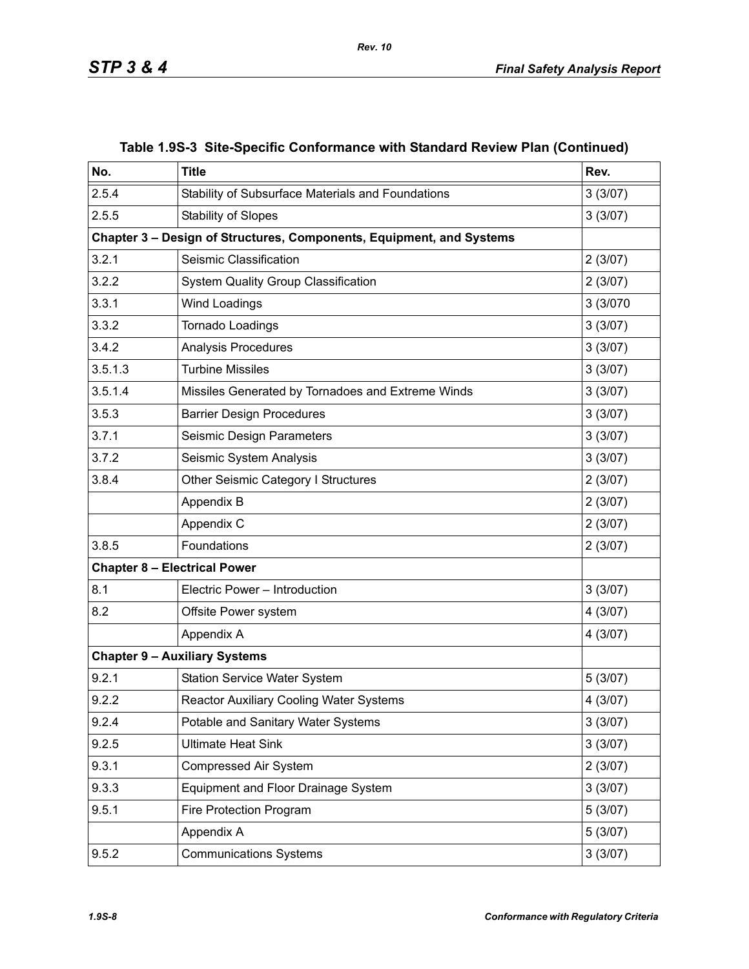| No.     | <b>Title</b>                                                         | Rev.     |
|---------|----------------------------------------------------------------------|----------|
| 2.5.4   | Stability of Subsurface Materials and Foundations                    | 3(3/07)  |
| 2.5.5   | <b>Stability of Slopes</b>                                           | 3(3/07)  |
|         | Chapter 3 - Design of Structures, Components, Equipment, and Systems |          |
| 3.2.1   | Seismic Classification                                               | 2(3/07)  |
| 3.2.2   | <b>System Quality Group Classification</b>                           | 2(3/07)  |
| 3.3.1   | <b>Wind Loadings</b>                                                 | 3 (3/070 |
| 3.3.2   | Tornado Loadings                                                     | 3(3/07)  |
| 3.4.2   | Analysis Procedures                                                  | 3(3/07)  |
| 3.5.1.3 | <b>Turbine Missiles</b>                                              | 3(3/07)  |
| 3.5.1.4 | Missiles Generated by Tornadoes and Extreme Winds                    | 3(3/07)  |
| 3.5.3   | <b>Barrier Design Procedures</b>                                     | 3(3/07)  |
| 3.7.1   | Seismic Design Parameters                                            | 3(3/07)  |
| 3.7.2   | Seismic System Analysis                                              | 3(3/07)  |
| 3.8.4   | Other Seismic Category I Structures                                  | 2(3/07)  |
|         | Appendix B                                                           | 2(3/07)  |
|         | Appendix C                                                           | 2(3/07)  |
| 3.8.5   | Foundations                                                          | 2(3/07)  |
|         | <b>Chapter 8 - Electrical Power</b>                                  |          |
| 8.1     | Electric Power - Introduction                                        | 3(3/07)  |
| 8.2     | Offsite Power system                                                 | 4 (3/07) |
|         | Appendix A                                                           | 4(3/07)  |
|         | <b>Chapter 9 - Auxiliary Systems</b>                                 |          |
| 9.2.1   | <b>Station Service Water System</b>                                  | 5(3/07)  |
| 9.2.2   | Reactor Auxiliary Cooling Water Systems                              | 4 (3/07) |
| 9.2.4   | Potable and Sanitary Water Systems                                   | 3(3/07)  |
| 9.2.5   | <b>Ultimate Heat Sink</b>                                            | 3(3/07)  |
| 9.3.1   | Compressed Air System                                                | 2(3/07)  |
| 9.3.3   | Equipment and Floor Drainage System                                  | 3(3/07)  |
| 9.5.1   | Fire Protection Program                                              | 5(3/07)  |
|         | Appendix A                                                           | 5(3/07)  |
| 9.5.2   | <b>Communications Systems</b>                                        | 3(3/07)  |

## **Table 1.9S-3 Site-Specific Conformance with Standard Review Plan (Continued)**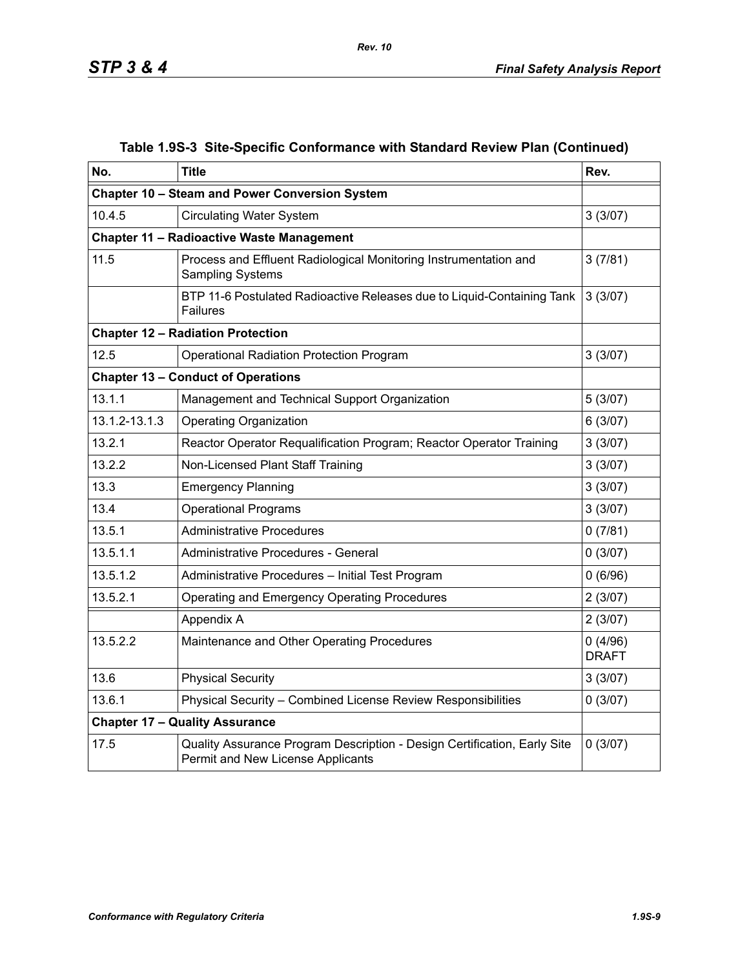| No.           | <b>Title</b>                                                                                                  | Rev.                    |
|---------------|---------------------------------------------------------------------------------------------------------------|-------------------------|
|               | Chapter 10 - Steam and Power Conversion System                                                                |                         |
| 10.4.5        | <b>Circulating Water System</b>                                                                               | 3(3/07)                 |
|               | <b>Chapter 11 - Radioactive Waste Management</b>                                                              |                         |
| 11.5          | Process and Effluent Radiological Monitoring Instrumentation and<br><b>Sampling Systems</b>                   | 3(7/81)                 |
|               | BTP 11-6 Postulated Radioactive Releases due to Liquid-Containing Tank<br><b>Failures</b>                     | 3(3/07)                 |
|               | <b>Chapter 12 - Radiation Protection</b>                                                                      |                         |
| 12.5          | <b>Operational Radiation Protection Program</b>                                                               | 3(3/07)                 |
|               | <b>Chapter 13 - Conduct of Operations</b>                                                                     |                         |
| 13.1.1        | Management and Technical Support Organization                                                                 | 5(3/07)                 |
| 13.1.2-13.1.3 | <b>Operating Organization</b>                                                                                 | 6(3/07)                 |
| 13.2.1        | Reactor Operator Requalification Program; Reactor Operator Training                                           | 3(3/07)                 |
| 13.2.2        | Non-Licensed Plant Staff Training                                                                             | 3(3/07)                 |
| 13.3          | <b>Emergency Planning</b>                                                                                     | 3(3/07)                 |
| 13.4          | <b>Operational Programs</b>                                                                                   | 3(3/07)                 |
| 13.5.1        | <b>Administrative Procedures</b>                                                                              | 0(7/81)                 |
| 13.5.1.1      | Administrative Procedures - General                                                                           | 0(3/07)                 |
| 13.5.1.2      | Administrative Procedures - Initial Test Program                                                              | 0(6/96)                 |
| 13.5.2.1      | Operating and Emergency Operating Procedures                                                                  | 2(3/07)                 |
|               | Appendix A                                                                                                    | 2(3/07)                 |
| 13.5.2.2      | Maintenance and Other Operating Procedures                                                                    | 0(4/96)<br><b>DRAFT</b> |
| 13.6          | <b>Physical Security</b>                                                                                      | 3(3/07)                 |
| 13.6.1        | Physical Security - Combined License Review Responsibilities                                                  | 0(3/07)                 |
|               | <b>Chapter 17 - Quality Assurance</b>                                                                         |                         |
| 17.5          | Quality Assurance Program Description - Design Certification, Early Site<br>Permit and New License Applicants | 0(3/07)                 |

### **Table 1.9S-3 Site-Specific Conformance with Standard Review Plan (Continued)**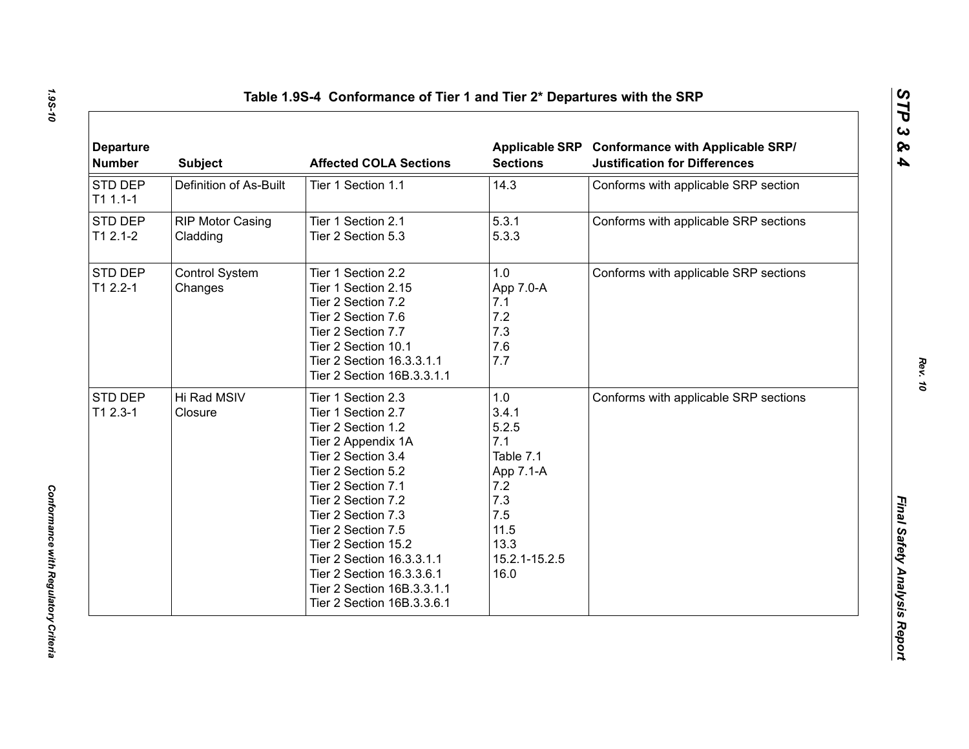| <b>Departure</b><br><b>Number</b> | <b>Subject</b>                      | <b>Affected COLA Sections</b>                                                                                                                                                                                                                                                                                                                                         | <b>Sections</b>                                                                                                      | Applicable SRP Conformance with Applicable SRP/<br><b>Justification for Differences</b> |
|-----------------------------------|-------------------------------------|-----------------------------------------------------------------------------------------------------------------------------------------------------------------------------------------------------------------------------------------------------------------------------------------------------------------------------------------------------------------------|----------------------------------------------------------------------------------------------------------------------|-----------------------------------------------------------------------------------------|
| STD DEP<br>$T11.1-1$              | Definition of As-Built              | Tier 1 Section 1.1                                                                                                                                                                                                                                                                                                                                                    | 14.3                                                                                                                 | Conforms with applicable SRP section                                                    |
| STD DEP<br>$T12.1-2$              | <b>RIP Motor Casing</b><br>Cladding | Tier 1 Section 2.1<br>Tier 2 Section 5.3                                                                                                                                                                                                                                                                                                                              | 5.3.1<br>5.3.3                                                                                                       | Conforms with applicable SRP sections                                                   |
| STD DEP<br>$T12.2 - 1$            | Control System<br>Changes           | Tier 1 Section 2.2<br>Tier 1 Section 2.15<br>Tier 2 Section 7.2<br>Tier 2 Section 7.6<br>Tier 2 Section 7.7<br>Tier 2 Section 10.1<br>Tier 2 Section 16.3.3.1.1<br>Tier 2 Section 16B.3.3.1.1                                                                                                                                                                         | 1.0<br>App 7.0-A<br>7.1<br>7.2<br>7.3<br>7.6<br>7.7                                                                  | Conforms with applicable SRP sections                                                   |
| STD DEP<br>$T12.3-1$              | Hi Rad MSIV<br>Closure              | Tier 1 Section 2.3<br>Tier 1 Section 2.7<br>Tier 2 Section 1.2<br>Tier 2 Appendix 1A<br>Tier 2 Section 3.4<br>Tier 2 Section 5.2<br>Tier 2 Section 7.1<br>Tier 2 Section 7.2<br>Tier 2 Section 7.3<br>Tier 2 Section 7.5<br>Tier 2 Section 15.2<br>Tier 2 Section 16.3.3.1.1<br>Tier 2 Section 16.3.3.6.1<br>Tier 2 Section 16B.3.3.1.1<br>Tier 2 Section 16B.3.3.6.1 | 1.0<br>3.4.1<br>5.2.5<br>7.1<br>Table 7.1<br>App 7.1-A<br>7.2<br>7.3<br>7.5<br>11.5<br>13.3<br>15.2.1-15.2.5<br>16.0 | Conforms with applicable SRP sections                                                   |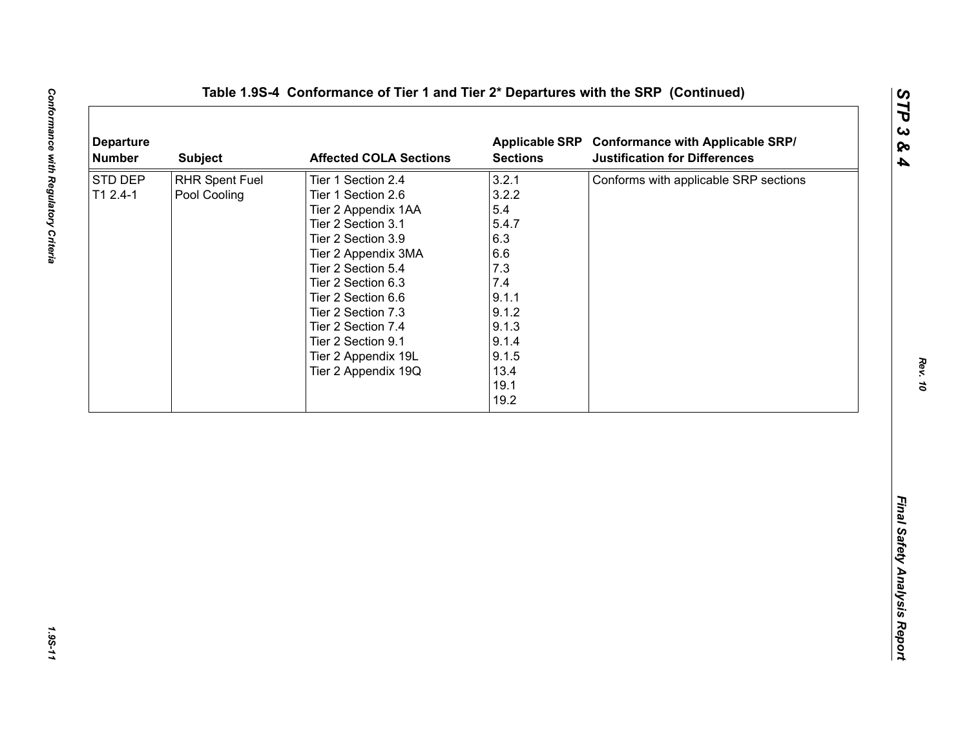| <b>Departure</b><br><b>Number</b> | <b>Subject</b>                        | <b>Affected COLA Sections</b>                                                                                                                                                                                                                                                                                        | <b>Sections</b>                                                                                                                 | Applicable SRP Conformance with Applicable SRP/<br><b>Justification for Differences</b> |
|-----------------------------------|---------------------------------------|----------------------------------------------------------------------------------------------------------------------------------------------------------------------------------------------------------------------------------------------------------------------------------------------------------------------|---------------------------------------------------------------------------------------------------------------------------------|-----------------------------------------------------------------------------------------|
| STD DEP<br>$T12.4-1$              | <b>RHR Spent Fuel</b><br>Pool Cooling | Tier 1 Section 2.4<br>Tier 1 Section 2.6<br>Tier 2 Appendix 1AA<br>Tier 2 Section 3.1<br>Tier 2 Section 3.9<br>Tier 2 Appendix 3MA<br>Tier 2 Section 5.4<br>Tier 2 Section 6.3<br>Tier 2 Section 6.6<br>Tier 2 Section 7.3<br>Tier 2 Section 7.4<br>Tier 2 Section 9.1<br>Tier 2 Appendix 19L<br>Tier 2 Appendix 19Q | 3.2.1<br>3.2.2<br>5.4<br>5.4.7<br>6.3<br>6.6<br>7.3<br>7.4<br>9.1.1<br>9.1.2<br>9.1.3<br>9.1.4<br>9.1.5<br>13.4<br>19.1<br>19.2 | Conforms with applicable SRP sections                                                   |
|                                   |                                       |                                                                                                                                                                                                                                                                                                                      |                                                                                                                                 |                                                                                         |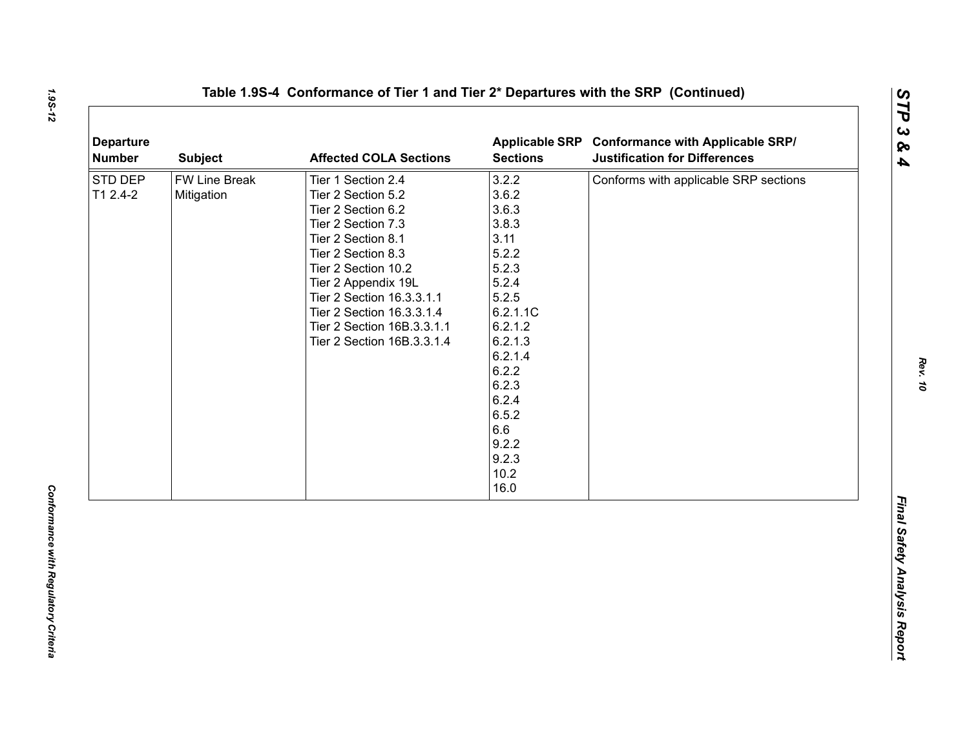| <b>Departure</b><br><b>Number</b> | <b>Subject</b>              | <b>Affected COLA Sections</b>                                                                                                                                                                                                                                                                        | <b>Sections</b>                                                                                                                                                                                        | Applicable SRP Conformance with Applicable SRP/<br><b>Justification for Differences</b> |
|-----------------------------------|-----------------------------|------------------------------------------------------------------------------------------------------------------------------------------------------------------------------------------------------------------------------------------------------------------------------------------------------|--------------------------------------------------------------------------------------------------------------------------------------------------------------------------------------------------------|-----------------------------------------------------------------------------------------|
| STD DEP<br>T1 2.4-2               | FW Line Break<br>Mitigation | Tier 1 Section 2.4<br>Tier 2 Section 5.2<br>Tier 2 Section 6.2<br>Tier 2 Section 7.3<br>Tier 2 Section 8.1<br>Tier 2 Section 8.3<br>Tier 2 Section 10.2<br>Tier 2 Appendix 19L<br>Tier 2 Section 16.3.3.1.1<br>Tier 2 Section 16.3.3.1.4<br>Tier 2 Section 16B.3.3.1.1<br>Tier 2 Section 16B.3.3.1.4 | 3.2.2<br>3.6.2<br>3.6.3<br>3.8.3<br>3.11<br>5.2.2<br>5.2.3<br>5.2.4<br>5.2.5<br>6.2.1.1C<br>6.2.1.2<br>6.2.1.3<br>6.2.1.4<br>6.2.2<br>6.2.3<br>6.2.4<br>6.5.2<br>6.6<br>9.2.2<br>9.2.3<br>10.2<br>16.0 | Conforms with applicable SRP sections                                                   |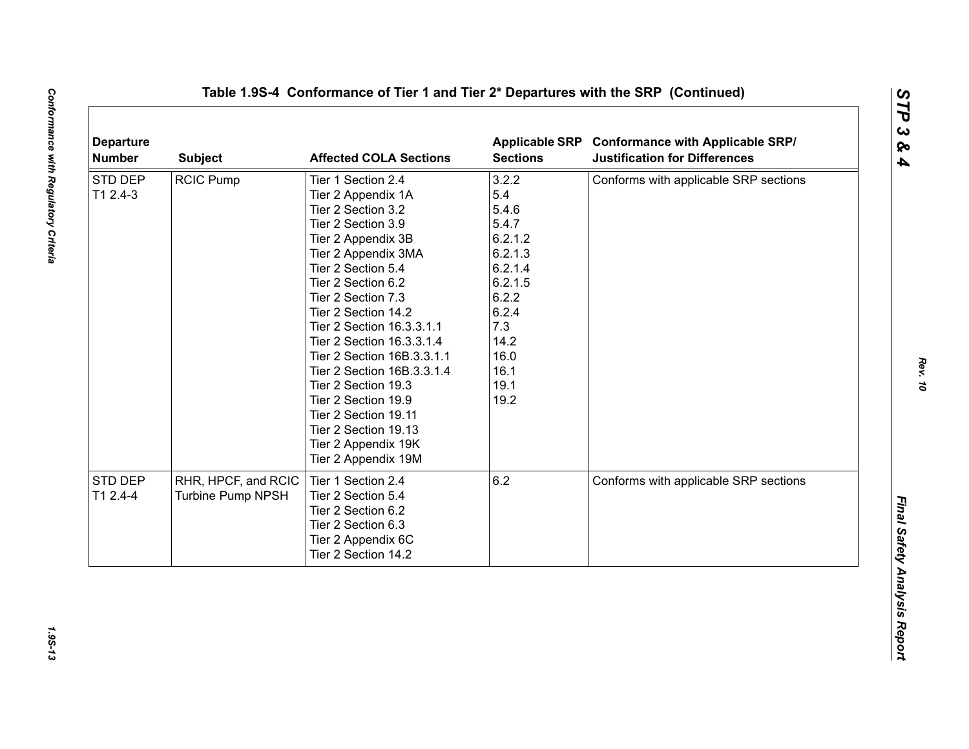| STD DEP<br>3.2.2<br><b>RCIC Pump</b><br>Tier 1 Section 2.4<br>T1 2.4-3<br>5.4<br>Tier 2 Appendix 1A<br>5.4.6<br>Tier 2 Section 3.2<br>5.4.7<br>Tier 2 Section 3.9<br>6.2.1.2<br>Tier 2 Appendix 3B<br>6.2.1.3<br>Tier 2 Appendix 3MA<br>6.2.1.4<br>Tier 2 Section 5.4<br>6.2.1.5<br>Tier 2 Section 6.2<br>6.2.2<br>Tier 2 Section 7.3<br>6.2.4<br>Tier 2 Section 14.2<br>7.3<br>Tier 2 Section 16.3.3.1.1<br>14.2<br>Tier 2 Section 16.3.3.1.4<br>16.0<br>Tier 2 Section 16B.3.3.1.1<br>16.1<br>Tier 2 Section 16B.3.3.1.4<br>19.1<br>Tier 2 Section 19.3<br>19.2<br>Tier 2 Section 19.9<br>Tier 2 Section 19.11<br>Tier 2 Section 19.13<br>Tier 2 Appendix 19K<br>Tier 2 Appendix 19M<br>6.2<br>STD DEP<br>RHR, HPCF, and RCIC<br>Tier 1 Section 2.4<br>Conforms with applicable SRP sections<br>T1 2.4-4<br><b>Turbine Pump NPSH</b><br>Tier 2 Section 5.4<br>Tier 2 Section 6.2<br>Tier 2 Section 6.3<br>Tier 2 Appendix 6C | <b>Departure</b><br><b>Number</b> | <b>Subject</b> | <b>Affected COLA Sections</b> | <b>Sections</b> | Applicable SRP Conformance with Applicable SRP/<br><b>Justification for Differences</b> |
|--------------------------------------------------------------------------------------------------------------------------------------------------------------------------------------------------------------------------------------------------------------------------------------------------------------------------------------------------------------------------------------------------------------------------------------------------------------------------------------------------------------------------------------------------------------------------------------------------------------------------------------------------------------------------------------------------------------------------------------------------------------------------------------------------------------------------------------------------------------------------------------------------------------------------------|-----------------------------------|----------------|-------------------------------|-----------------|-----------------------------------------------------------------------------------------|
|                                                                                                                                                                                                                                                                                                                                                                                                                                                                                                                                                                                                                                                                                                                                                                                                                                                                                                                                |                                   |                |                               |                 | Conforms with applicable SRP sections                                                   |
|                                                                                                                                                                                                                                                                                                                                                                                                                                                                                                                                                                                                                                                                                                                                                                                                                                                                                                                                |                                   |                |                               |                 |                                                                                         |
|                                                                                                                                                                                                                                                                                                                                                                                                                                                                                                                                                                                                                                                                                                                                                                                                                                                                                                                                |                                   |                |                               |                 |                                                                                         |
|                                                                                                                                                                                                                                                                                                                                                                                                                                                                                                                                                                                                                                                                                                                                                                                                                                                                                                                                |                                   |                |                               |                 |                                                                                         |
|                                                                                                                                                                                                                                                                                                                                                                                                                                                                                                                                                                                                                                                                                                                                                                                                                                                                                                                                |                                   |                |                               |                 |                                                                                         |
|                                                                                                                                                                                                                                                                                                                                                                                                                                                                                                                                                                                                                                                                                                                                                                                                                                                                                                                                |                                   |                |                               |                 |                                                                                         |
|                                                                                                                                                                                                                                                                                                                                                                                                                                                                                                                                                                                                                                                                                                                                                                                                                                                                                                                                |                                   |                |                               |                 |                                                                                         |
|                                                                                                                                                                                                                                                                                                                                                                                                                                                                                                                                                                                                                                                                                                                                                                                                                                                                                                                                |                                   |                |                               |                 |                                                                                         |
|                                                                                                                                                                                                                                                                                                                                                                                                                                                                                                                                                                                                                                                                                                                                                                                                                                                                                                                                |                                   |                |                               |                 |                                                                                         |
|                                                                                                                                                                                                                                                                                                                                                                                                                                                                                                                                                                                                                                                                                                                                                                                                                                                                                                                                |                                   |                |                               |                 |                                                                                         |
|                                                                                                                                                                                                                                                                                                                                                                                                                                                                                                                                                                                                                                                                                                                                                                                                                                                                                                                                |                                   |                |                               |                 |                                                                                         |
|                                                                                                                                                                                                                                                                                                                                                                                                                                                                                                                                                                                                                                                                                                                                                                                                                                                                                                                                |                                   |                |                               |                 |                                                                                         |
|                                                                                                                                                                                                                                                                                                                                                                                                                                                                                                                                                                                                                                                                                                                                                                                                                                                                                                                                |                                   |                |                               |                 |                                                                                         |
|                                                                                                                                                                                                                                                                                                                                                                                                                                                                                                                                                                                                                                                                                                                                                                                                                                                                                                                                |                                   |                |                               |                 |                                                                                         |
|                                                                                                                                                                                                                                                                                                                                                                                                                                                                                                                                                                                                                                                                                                                                                                                                                                                                                                                                |                                   |                |                               |                 |                                                                                         |
|                                                                                                                                                                                                                                                                                                                                                                                                                                                                                                                                                                                                                                                                                                                                                                                                                                                                                                                                |                                   |                |                               |                 |                                                                                         |
|                                                                                                                                                                                                                                                                                                                                                                                                                                                                                                                                                                                                                                                                                                                                                                                                                                                                                                                                |                                   |                |                               |                 |                                                                                         |
|                                                                                                                                                                                                                                                                                                                                                                                                                                                                                                                                                                                                                                                                                                                                                                                                                                                                                                                                |                                   |                |                               |                 |                                                                                         |
|                                                                                                                                                                                                                                                                                                                                                                                                                                                                                                                                                                                                                                                                                                                                                                                                                                                                                                                                |                                   |                |                               |                 |                                                                                         |
|                                                                                                                                                                                                                                                                                                                                                                                                                                                                                                                                                                                                                                                                                                                                                                                                                                                                                                                                |                                   |                |                               |                 |                                                                                         |
|                                                                                                                                                                                                                                                                                                                                                                                                                                                                                                                                                                                                                                                                                                                                                                                                                                                                                                                                |                                   |                |                               |                 |                                                                                         |
|                                                                                                                                                                                                                                                                                                                                                                                                                                                                                                                                                                                                                                                                                                                                                                                                                                                                                                                                |                                   |                |                               |                 |                                                                                         |
|                                                                                                                                                                                                                                                                                                                                                                                                                                                                                                                                                                                                                                                                                                                                                                                                                                                                                                                                |                                   |                |                               |                 |                                                                                         |
|                                                                                                                                                                                                                                                                                                                                                                                                                                                                                                                                                                                                                                                                                                                                                                                                                                                                                                                                |                                   |                |                               |                 |                                                                                         |
|                                                                                                                                                                                                                                                                                                                                                                                                                                                                                                                                                                                                                                                                                                                                                                                                                                                                                                                                |                                   |                |                               |                 |                                                                                         |
| Tier 2 Section 14.2                                                                                                                                                                                                                                                                                                                                                                                                                                                                                                                                                                                                                                                                                                                                                                                                                                                                                                            |                                   |                |                               |                 |                                                                                         |
|                                                                                                                                                                                                                                                                                                                                                                                                                                                                                                                                                                                                                                                                                                                                                                                                                                                                                                                                |                                   |                |                               |                 |                                                                                         |

1.95-13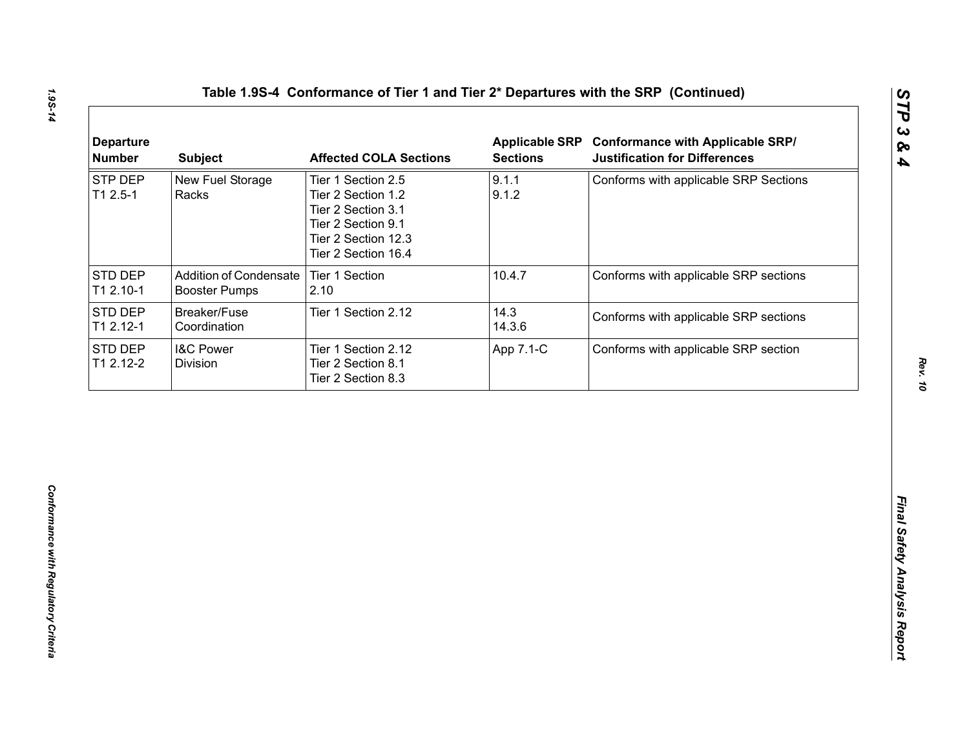| <b>STP DEP</b><br>9.1.1<br>New Fuel Storage<br>Conforms with applicable SRP Sections<br>Tier 1 Section 2.5<br>9.1.2<br>$T12.5-1$<br>Racks<br>Tier 2 Section 1.2<br>Tier 2 Section 3.1<br>Tier 2 Section 9.1<br>Tier 2 Section 12.3<br>Tier 2 Section 16.4<br><b>Addition of Condensate</b><br>Tier 1 Section<br>10.4.7<br>Conforms with applicable SRP sections<br><b>Booster Pumps</b><br>2.10<br>14.3<br>Breaker/Fuse<br>Tier 1 Section 2.12<br>Conforms with applicable SRP sections<br>14.3.6<br>Coordination |
|-------------------------------------------------------------------------------------------------------------------------------------------------------------------------------------------------------------------------------------------------------------------------------------------------------------------------------------------------------------------------------------------------------------------------------------------------------------------------------------------------------------------|
| STD DEP<br>T1 2.10-1<br>STD DEP<br>T1 2.12-1                                                                                                                                                                                                                                                                                                                                                                                                                                                                      |
|                                                                                                                                                                                                                                                                                                                                                                                                                                                                                                                   |
|                                                                                                                                                                                                                                                                                                                                                                                                                                                                                                                   |
| STD DEP<br><b>I&amp;C Power</b><br>Conforms with applicable SRP section<br>Tier 1 Section 2.12<br>App 7.1-C<br>T1 2.12-2<br>Division<br>Tier 2 Section 8.1<br>Tier 2 Section 8.3                                                                                                                                                                                                                                                                                                                                  |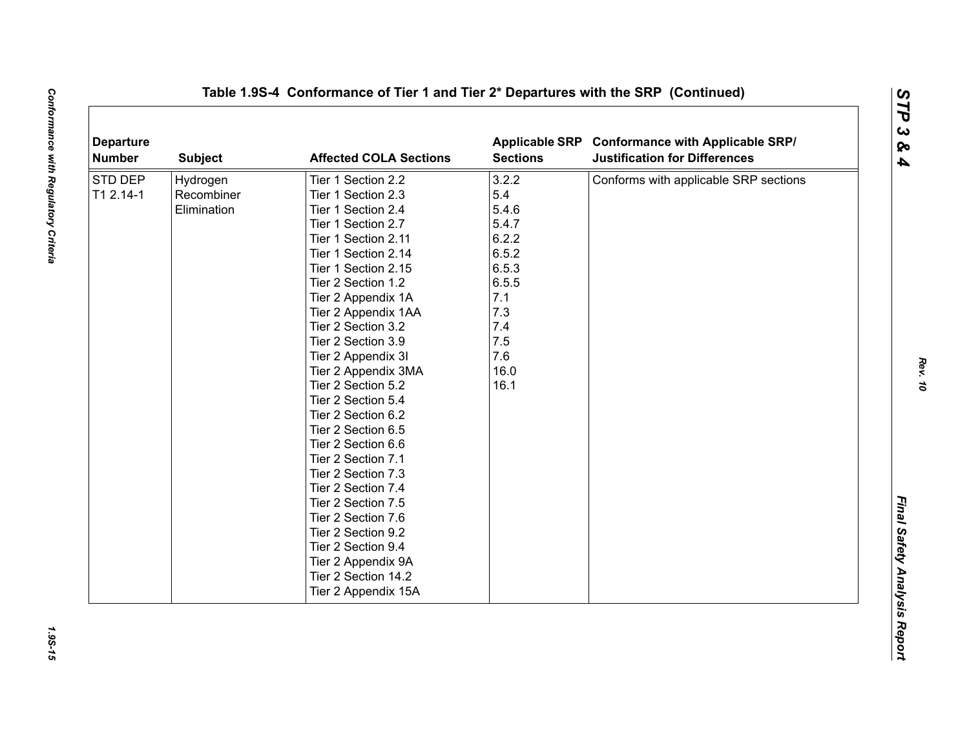| <b>Departure</b><br><b>Number</b> | <b>Subject</b> | <b>Affected COLA Sections</b> | <b>Sections</b> | Applicable SRP Conformance with Applicable SRP/<br><b>Justification for Differences</b> |
|-----------------------------------|----------------|-------------------------------|-----------------|-----------------------------------------------------------------------------------------|
| <b>STD DEP</b>                    | Hydrogen       | Tier 1 Section 2.2            | 3.2.2           | Conforms with applicable SRP sections                                                   |
| T1 2.14-1                         | Recombiner     | Tier 1 Section 2.3            | 5.4             |                                                                                         |
|                                   | Elimination    | Tier 1 Section 2.4            | 5.4.6           |                                                                                         |
|                                   |                | Tier 1 Section 2.7            | 5.4.7           |                                                                                         |
|                                   |                | Tier 1 Section 2.11           | 6.2.2           |                                                                                         |
|                                   |                | Tier 1 Section 2.14           | 6.5.2           |                                                                                         |
|                                   |                | Tier 1 Section 2.15           | 6.5.3           |                                                                                         |
|                                   |                | Tier 2 Section 1.2            | 6.5.5           |                                                                                         |
|                                   |                | Tier 2 Appendix 1A            | 7.1             |                                                                                         |
|                                   |                | Tier 2 Appendix 1AA           | 7.3             |                                                                                         |
|                                   |                | Tier 2 Section 3.2            | 7.4             |                                                                                         |
|                                   |                | Tier 2 Section 3.9            | 7.5             |                                                                                         |
|                                   |                | Tier 2 Appendix 3I            | 7.6             |                                                                                         |
|                                   |                | Tier 2 Appendix 3MA           | 16.0            |                                                                                         |
|                                   |                | Tier 2 Section 5.2            | 16.1            |                                                                                         |
|                                   |                | Tier 2 Section 5.4            |                 |                                                                                         |
|                                   |                | Tier 2 Section 6.2            |                 |                                                                                         |
|                                   |                | Tier 2 Section 6.5            |                 |                                                                                         |
|                                   |                | Tier 2 Section 6.6            |                 |                                                                                         |
|                                   |                | Tier 2 Section 7.1            |                 |                                                                                         |
|                                   |                | Tier 2 Section 7.3            |                 |                                                                                         |
|                                   |                | Tier 2 Section 7.4            |                 |                                                                                         |
|                                   |                | Tier 2 Section 7.5            |                 |                                                                                         |
|                                   |                | Tier 2 Section 7.6            |                 |                                                                                         |
|                                   |                | Tier 2 Section 9.2            |                 |                                                                                         |
|                                   |                | Tier 2 Section 9.4            |                 |                                                                                         |
|                                   |                | Tier 2 Appendix 9A            |                 |                                                                                         |
|                                   |                | Tier 2 Section 14.2           |                 |                                                                                         |
|                                   |                | Tier 2 Appendix 15A           |                 |                                                                                         |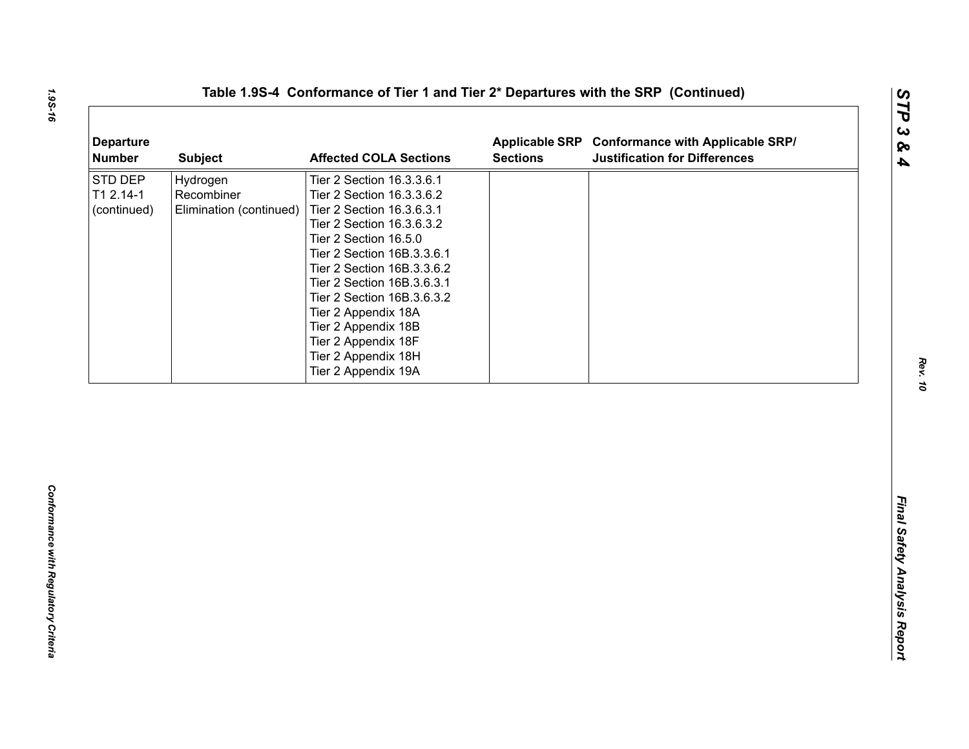| <b>Departure</b><br><b>Number</b>   | <b>Subject</b>                                    | <b>Affected COLA Sections</b>                                                                                                                                                                                                                                                                                                                                                        | <b>Sections</b> | Applicable SRP Conformance with Applicable SRP/<br><b>Justification for Differences</b> |
|-------------------------------------|---------------------------------------------------|--------------------------------------------------------------------------------------------------------------------------------------------------------------------------------------------------------------------------------------------------------------------------------------------------------------------------------------------------------------------------------------|-----------------|-----------------------------------------------------------------------------------------|
| STD DEP<br>T1 2.14-1<br>(continued) | Hydrogen<br>Recombiner<br>Elimination (continued) | Tier 2 Section 16.3.3.6.1<br>Tier 2 Section 16.3.3.6.2<br>Tier 2 Section 16.3.6.3.1<br>Tier 2 Section 16.3.6.3.2<br>Tier 2 Section 16.5.0<br>Tier 2 Section 16B.3.3.6.1<br>Tier 2 Section 16B.3.3.6.2<br>Tier 2 Section 16B.3.6.3.1<br>Tier 2 Section 16B.3.6.3.2<br>Tier 2 Appendix 18A<br>Tier 2 Appendix 18B<br>Tier 2 Appendix 18F<br>Tier 2 Appendix 18H<br>Tier 2 Appendix 19A |                 |                                                                                         |
|                                     |                                                   |                                                                                                                                                                                                                                                                                                                                                                                      |                 |                                                                                         |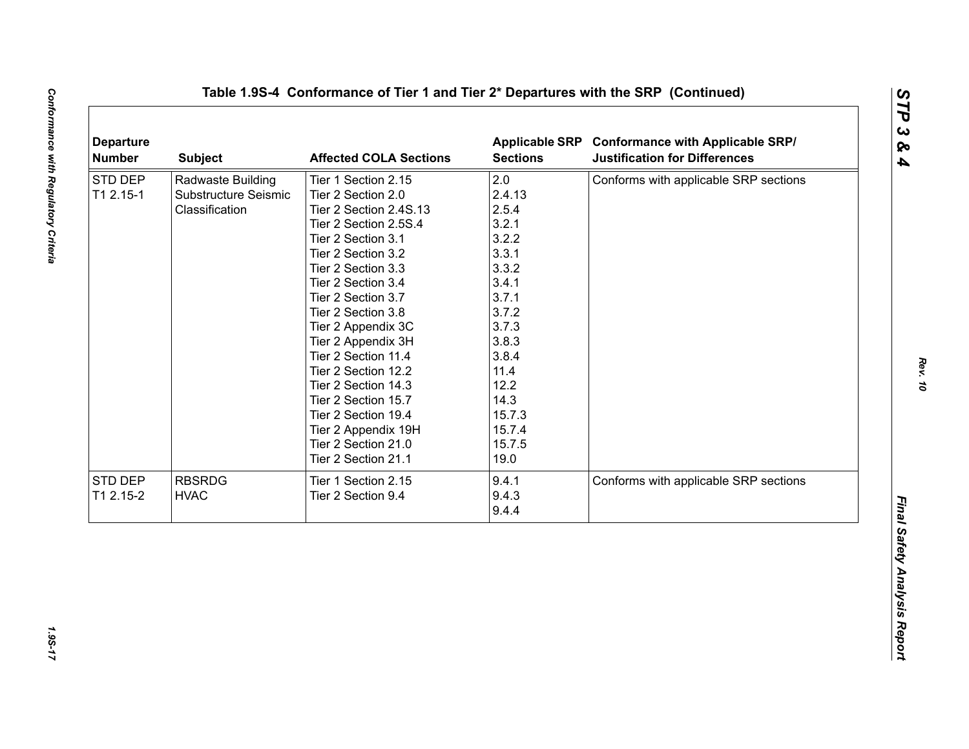|           | <b>Subject</b>       | <b>Affected COLA Sections</b> | <b>Sections</b> | Applicable SRP Conformance with Applicable SRP/<br><b>Justification for Differences</b> |
|-----------|----------------------|-------------------------------|-----------------|-----------------------------------------------------------------------------------------|
| STD DEP   | Radwaste Building    | Tier 1 Section 2.15           | 2.0             | Conforms with applicable SRP sections                                                   |
| T1 2.15-1 | Substructure Seismic | Tier 2 Section 2.0            | 2.4.13          |                                                                                         |
|           | Classification       | Tier 2 Section 2.4S.13        | 2.5.4           |                                                                                         |
|           |                      | Tier 2 Section 2.5S.4         | 3.2.1           |                                                                                         |
|           |                      | Tier 2 Section 3.1            | 3.2.2           |                                                                                         |
|           |                      | Tier 2 Section 3.2            | 3.3.1           |                                                                                         |
|           |                      | Tier 2 Section 3.3            | 3.3.2           |                                                                                         |
|           |                      | Tier 2 Section 3.4            | 3.4.1           |                                                                                         |
|           |                      | Tier 2 Section 3.7            | 3.7.1           |                                                                                         |
|           |                      | Tier 2 Section 3.8            | 3.7.2           |                                                                                         |
|           |                      | Tier 2 Appendix 3C            | 3.7.3           |                                                                                         |
|           |                      | Tier 2 Appendix 3H            | 3.8.3           |                                                                                         |
|           |                      | Tier 2 Section 11.4           | 3.8.4           |                                                                                         |
|           |                      | Tier 2 Section 12.2           | 11.4            |                                                                                         |
|           |                      | Tier 2 Section 14.3           | 12.2            |                                                                                         |
|           |                      | Tier 2 Section 15.7           | 14.3            |                                                                                         |
|           |                      | Tier 2 Section 19.4           | 15.7.3          |                                                                                         |
|           |                      | Tier 2 Appendix 19H           | 15.7.4          |                                                                                         |
|           |                      | Tier 2 Section 21.0           | 15.7.5          |                                                                                         |
|           |                      | Tier 2 Section 21.1           | 19.0            |                                                                                         |
| STD DEP   | <b>RBSRDG</b>        | Tier 1 Section 2.15           | 9.4.1           | Conforms with applicable SRP sections                                                   |
| T1 2.15-2 | <b>HVAC</b>          | Tier 2 Section 9.4            | 9.4.3           |                                                                                         |
|           |                      |                               | 9.4.4           |                                                                                         |

1.95-17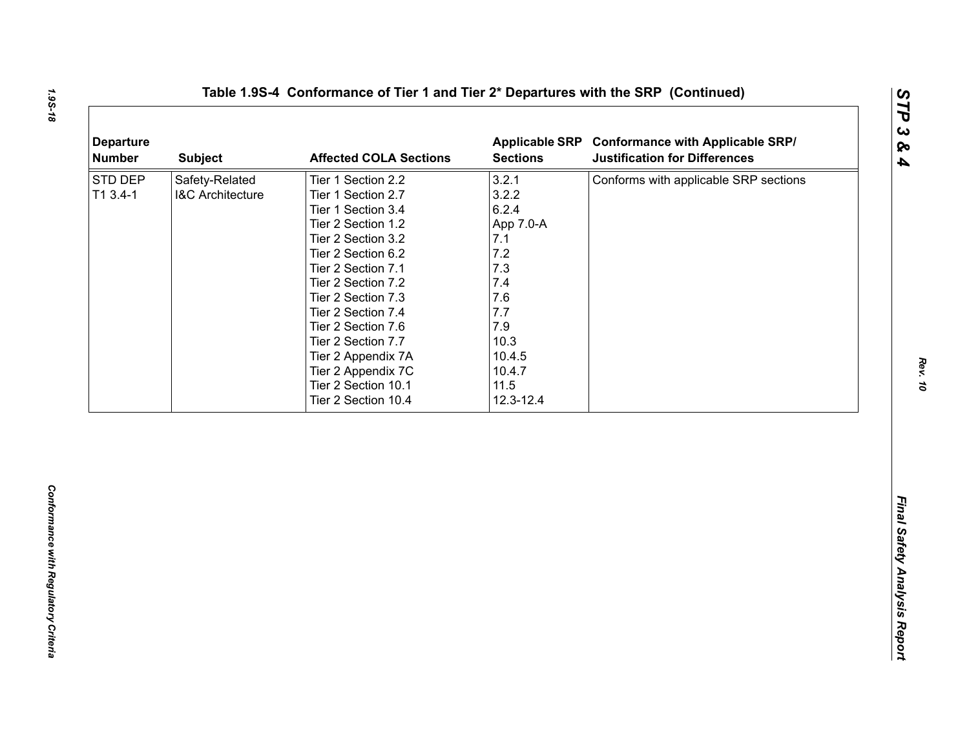| 3.2.1<br>Safety-Related<br>Tier 1 Section 2.2<br>Conforms with applicable SRP sections<br>3.2.2<br>$T13.4-1$<br><b>I&amp;C Architecture</b><br>Tier 1 Section 2.7<br>6.2.4<br>Tier 1 Section 3.4<br>Tier 2 Section 1.2<br>App 7.0-A<br>7.1<br>Tier 2 Section 3.2<br>7.2<br>Tier 2 Section 6.2<br>7.3<br>Tier 2 Section 7.1<br>7.4<br>Tier 2 Section 7.2<br>7.6<br>Tier 2 Section 7.3<br>7.7<br>Tier 2 Section 7.4<br>7.9<br>Tier 2 Section 7.6<br>10.3<br>Tier 2 Section 7.7<br>10.4.5<br>Tier 2 Appendix 7A<br>Tier 2 Appendix 7C<br>10.4.7<br>11.5<br>Tier 2 Section 10.1<br>Tier 2 Section 10.4<br>12.3-12.4 | <b>Departure</b><br><b>Number</b> | <b>Subject</b> | <b>Affected COLA Sections</b> | <b>Sections</b> | Applicable SRP Conformance with Applicable SRP/<br><b>Justification for Differences</b> |
|-----------------------------------------------------------------------------------------------------------------------------------------------------------------------------------------------------------------------------------------------------------------------------------------------------------------------------------------------------------------------------------------------------------------------------------------------------------------------------------------------------------------------------------------------------------------------------------------------------------------|-----------------------------------|----------------|-------------------------------|-----------------|-----------------------------------------------------------------------------------------|
|                                                                                                                                                                                                                                                                                                                                                                                                                                                                                                                                                                                                                 | STD DEP                           |                |                               |                 |                                                                                         |
|                                                                                                                                                                                                                                                                                                                                                                                                                                                                                                                                                                                                                 |                                   |                |                               |                 |                                                                                         |
|                                                                                                                                                                                                                                                                                                                                                                                                                                                                                                                                                                                                                 |                                   |                |                               |                 |                                                                                         |
|                                                                                                                                                                                                                                                                                                                                                                                                                                                                                                                                                                                                                 |                                   |                |                               |                 |                                                                                         |
|                                                                                                                                                                                                                                                                                                                                                                                                                                                                                                                                                                                                                 |                                   |                |                               |                 |                                                                                         |
|                                                                                                                                                                                                                                                                                                                                                                                                                                                                                                                                                                                                                 |                                   |                |                               |                 |                                                                                         |
|                                                                                                                                                                                                                                                                                                                                                                                                                                                                                                                                                                                                                 |                                   |                |                               |                 |                                                                                         |
|                                                                                                                                                                                                                                                                                                                                                                                                                                                                                                                                                                                                                 |                                   |                |                               |                 |                                                                                         |
|                                                                                                                                                                                                                                                                                                                                                                                                                                                                                                                                                                                                                 |                                   |                |                               |                 |                                                                                         |
|                                                                                                                                                                                                                                                                                                                                                                                                                                                                                                                                                                                                                 |                                   |                |                               |                 |                                                                                         |
|                                                                                                                                                                                                                                                                                                                                                                                                                                                                                                                                                                                                                 |                                   |                |                               |                 |                                                                                         |
|                                                                                                                                                                                                                                                                                                                                                                                                                                                                                                                                                                                                                 |                                   |                |                               |                 |                                                                                         |
|                                                                                                                                                                                                                                                                                                                                                                                                                                                                                                                                                                                                                 |                                   |                |                               |                 |                                                                                         |
|                                                                                                                                                                                                                                                                                                                                                                                                                                                                                                                                                                                                                 |                                   |                |                               |                 |                                                                                         |
|                                                                                                                                                                                                                                                                                                                                                                                                                                                                                                                                                                                                                 |                                   |                |                               |                 |                                                                                         |
|                                                                                                                                                                                                                                                                                                                                                                                                                                                                                                                                                                                                                 |                                   |                |                               |                 |                                                                                         |
|                                                                                                                                                                                                                                                                                                                                                                                                                                                                                                                                                                                                                 |                                   |                |                               |                 |                                                                                         |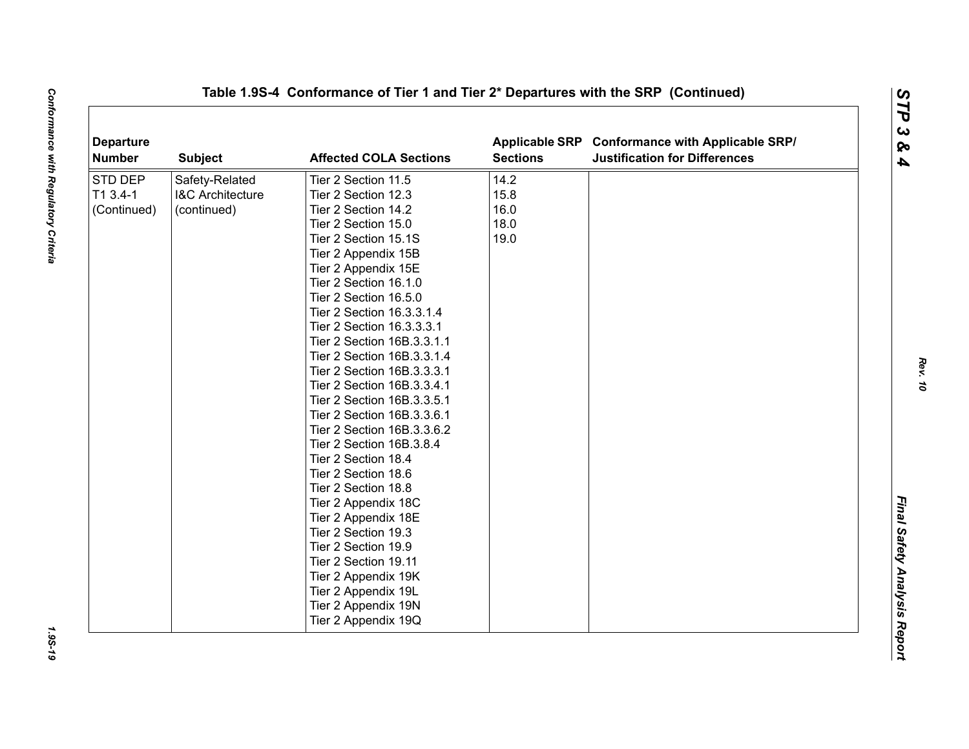| <b>Departure</b><br><b>Number</b> | <b>Subject</b>              | <b>Affected COLA Sections</b> | <b>Sections</b> | Applicable SRP Conformance with Applicable SRP/<br><b>Justification for Differences</b> |  |
|-----------------------------------|-----------------------------|-------------------------------|-----------------|-----------------------------------------------------------------------------------------|--|
| STD DEP                           | Safety-Related              | Tier 2 Section 11.5           | 14.2            |                                                                                         |  |
| T1 3.4-1                          | <b>I&amp;C Architecture</b> | Tier 2 Section 12.3           | 15.8            |                                                                                         |  |
| (Continued)                       | (continued)                 | Tier 2 Section 14.2           | 16.0            |                                                                                         |  |
|                                   |                             | Tier 2 Section 15.0           | 18.0            |                                                                                         |  |
|                                   |                             | Tier 2 Section 15.1S          | 19.0            |                                                                                         |  |
|                                   |                             | Tier 2 Appendix 15B           |                 |                                                                                         |  |
|                                   |                             | Tier 2 Appendix 15E           |                 |                                                                                         |  |
|                                   |                             | Tier 2 Section 16.1.0         |                 |                                                                                         |  |
|                                   |                             | Tier 2 Section 16.5.0         |                 |                                                                                         |  |
|                                   |                             | Tier 2 Section 16.3.3.1.4     |                 |                                                                                         |  |
|                                   |                             | Tier 2 Section 16.3.3.3.1     |                 |                                                                                         |  |
|                                   |                             | Tier 2 Section 16B.3.3.1.1    |                 |                                                                                         |  |
|                                   |                             | Tier 2 Section 16B.3.3.1.4    |                 |                                                                                         |  |
|                                   |                             | Tier 2 Section 16B.3.3.3.1    |                 |                                                                                         |  |
|                                   |                             | Tier 2 Section 16B.3.3.4.1    |                 |                                                                                         |  |
|                                   |                             | Tier 2 Section 16B.3.3.5.1    |                 |                                                                                         |  |
|                                   |                             | Tier 2 Section 16B.3.3.6.1    |                 |                                                                                         |  |
|                                   |                             | Tier 2 Section 16B.3.3.6.2    |                 |                                                                                         |  |
|                                   |                             | Tier 2 Section 16B.3.8.4      |                 |                                                                                         |  |
|                                   |                             | Tier 2 Section 18.4           |                 |                                                                                         |  |
|                                   |                             | Tier 2 Section 18.6           |                 |                                                                                         |  |
|                                   |                             | Tier 2 Section 18.8           |                 |                                                                                         |  |
|                                   |                             | Tier 2 Appendix 18C           |                 |                                                                                         |  |
|                                   |                             | Tier 2 Appendix 18E           |                 |                                                                                         |  |
|                                   |                             | Tier 2 Section 19.3           |                 |                                                                                         |  |
|                                   |                             | Tier 2 Section 19.9           |                 |                                                                                         |  |
|                                   |                             | Tier 2 Section 19.11          |                 |                                                                                         |  |
|                                   |                             | Tier 2 Appendix 19K           |                 |                                                                                         |  |
|                                   |                             | Tier 2 Appendix 19L           |                 |                                                                                         |  |
|                                   |                             | Tier 2 Appendix 19N           |                 |                                                                                         |  |
|                                   |                             | Tier 2 Appendix 19Q           |                 |                                                                                         |  |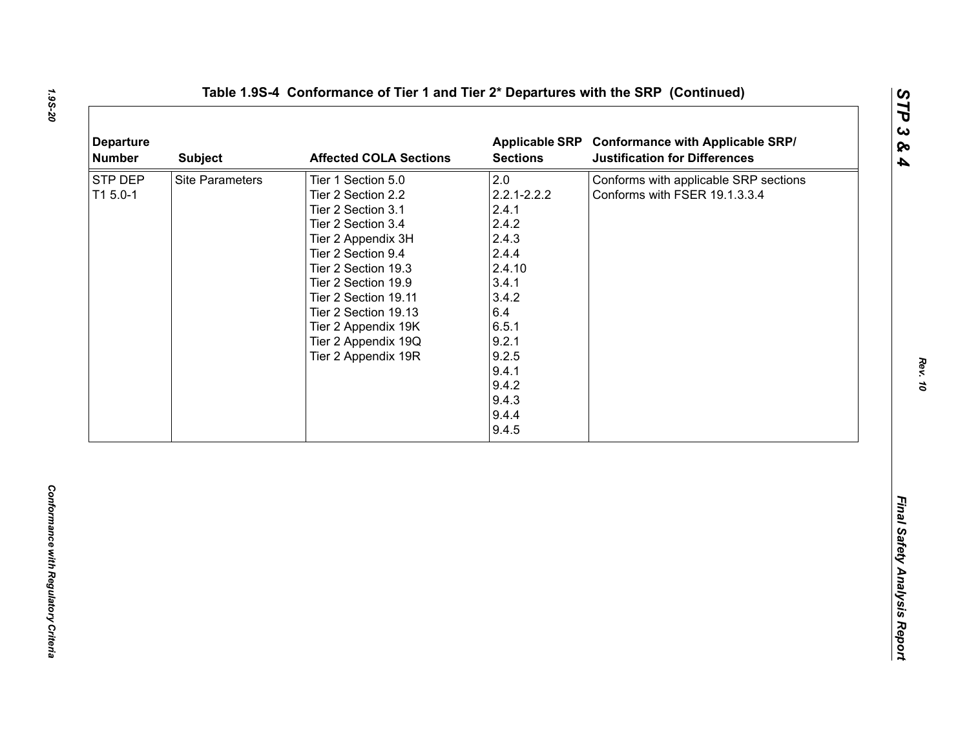| <b>Departure</b><br><b>Number</b> | <b>Subject</b>         | <b>Affected COLA Sections</b>                                                                                                                                                                                                                                                                       | <b>Sections</b>                                                                                                                                                       | Applicable SRP Conformance with Applicable SRP/<br><b>Justification for Differences</b> |
|-----------------------------------|------------------------|-----------------------------------------------------------------------------------------------------------------------------------------------------------------------------------------------------------------------------------------------------------------------------------------------------|-----------------------------------------------------------------------------------------------------------------------------------------------------------------------|-----------------------------------------------------------------------------------------|
| STP DEP<br>T1 5.0-1               | <b>Site Parameters</b> | Tier 1 Section 5.0<br>Tier 2 Section 2.2<br>Tier 2 Section 3.1<br>Tier 2 Section 3.4<br>Tier 2 Appendix 3H<br>Tier 2 Section 9.4<br>Tier 2 Section 19.3<br>Tier 2 Section 19.9<br>Tier 2 Section 19.11<br>Tier 2 Section 19.13<br>Tier 2 Appendix 19K<br>Tier 2 Appendix 19Q<br>Tier 2 Appendix 19R | 2.0<br>$2.2.1 - 2.2.2$<br>2.4.1<br>2.4.2<br>2.4.3<br>2.4.4<br>2.4.10<br>3.4.1<br>3.4.2<br>6.4<br>6.5.1<br>9.2.1<br>9.2.5<br>9.4.1<br>9.4.2<br>9.4.3<br>9.4.4<br>9.4.5 | Conforms with applicable SRP sections<br>Conforms with FSER 19.1.3.3.4                  |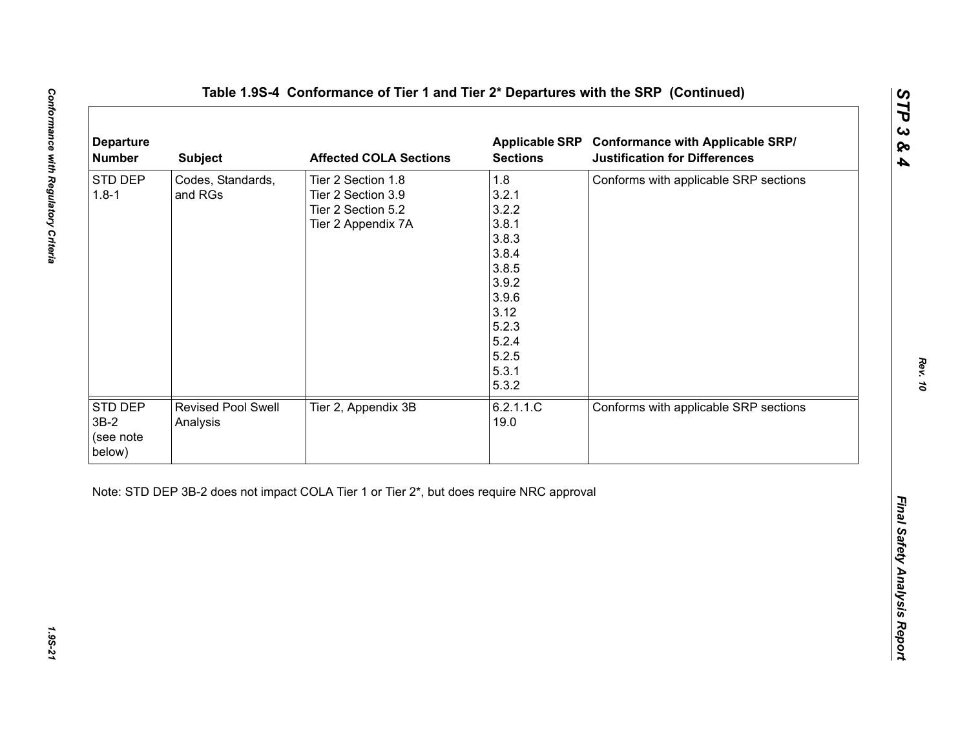| 1.8<br>STD DEP<br>Codes, Standards,<br>Tier 2 Section 1.8<br>Conforms with applicable SRP sections<br>3.2.1<br>$1.8 - 1$<br>and RGs<br>Tier 2 Section 3.9<br>3.2.2<br>Tier 2 Section 5.2<br>3.8.1<br>Tier 2 Appendix 7A<br>3.8.3<br>3.8.4<br>3.8.5<br>3.9.2<br>3.9.6<br>3.12<br>5.2.3<br>5.2.4 |
|------------------------------------------------------------------------------------------------------------------------------------------------------------------------------------------------------------------------------------------------------------------------------------------------|
| 5.2.5<br>5.3.1<br>5.3.2                                                                                                                                                                                                                                                                        |
| STD DEP<br>Tier 2, Appendix 3B<br>6.2.1.1.C<br>Conforms with applicable SRP sections<br>Revised Pool Swell<br>$3B-2$<br>19.0<br>Analysis<br>(see note<br>below)                                                                                                                                |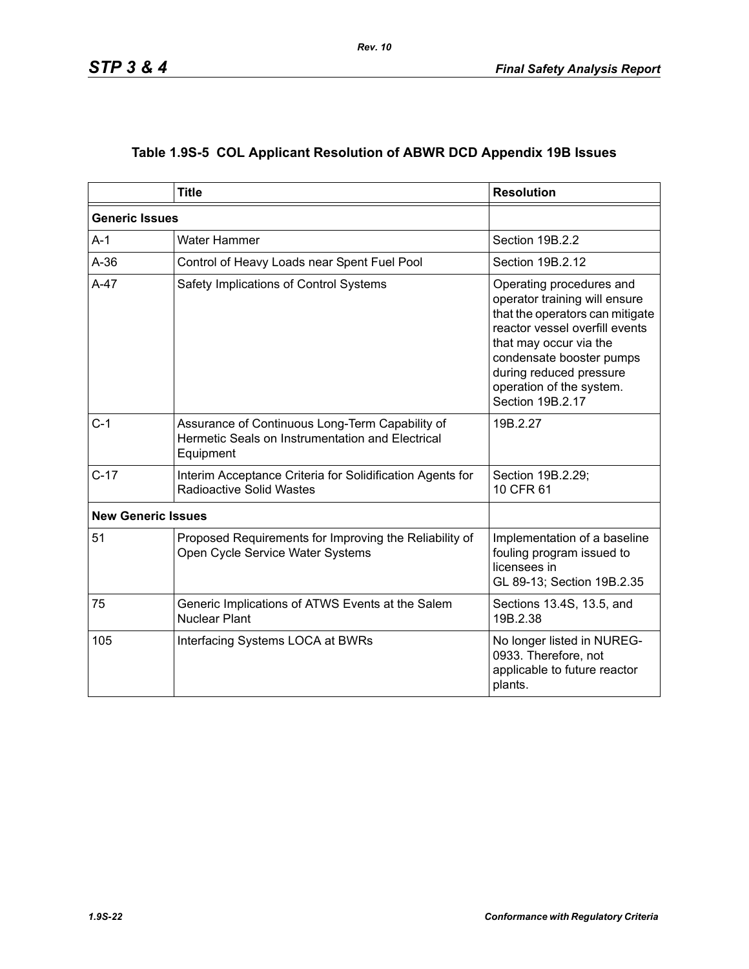|  | Table 1.9S-5 COL Applicant Resolution of ABWR DCD Appendix 19B Issues |  |  |  |  |
|--|-----------------------------------------------------------------------|--|--|--|--|
|--|-----------------------------------------------------------------------|--|--|--|--|

|                           | <b>Title</b>                                                                                                                   | <b>Resolution</b>                                                                                                                                                                                                                                               |  |  |
|---------------------------|--------------------------------------------------------------------------------------------------------------------------------|-----------------------------------------------------------------------------------------------------------------------------------------------------------------------------------------------------------------------------------------------------------------|--|--|
|                           | <b>Generic Issues</b>                                                                                                          |                                                                                                                                                                                                                                                                 |  |  |
| $A-1$                     | Water Hammer                                                                                                                   | Section 19B.2.2                                                                                                                                                                                                                                                 |  |  |
| $A-36$                    | Control of Heavy Loads near Spent Fuel Pool                                                                                    | Section 19B.2.12                                                                                                                                                                                                                                                |  |  |
| $A-47$                    | Safety Implications of Control Systems                                                                                         | Operating procedures and<br>operator training will ensure<br>that the operators can mitigate<br>reactor vessel overfill events<br>that may occur via the<br>condensate booster pumps<br>during reduced pressure<br>operation of the system.<br>Section 19B.2.17 |  |  |
| $C-1$                     | Assurance of Continuous Long-Term Capability of<br>Hermetic Seals on Instrumentation and Electrical<br>Equipment               | 19B.2.27                                                                                                                                                                                                                                                        |  |  |
| $C-17$                    | Interim Acceptance Criteria for Solidification Agents for<br>Section 19B.2.29;<br><b>Radioactive Solid Wastes</b><br>10 CFR 61 |                                                                                                                                                                                                                                                                 |  |  |
| <b>New Generic Issues</b> |                                                                                                                                |                                                                                                                                                                                                                                                                 |  |  |
| 51                        | Proposed Requirements for Improving the Reliability of<br>Open Cycle Service Water Systems                                     | Implementation of a baseline<br>fouling program issued to<br>licensees in<br>GL 89-13; Section 19B.2.35                                                                                                                                                         |  |  |
| 75                        | Generic Implications of ATWS Events at the Salem<br><b>Nuclear Plant</b>                                                       | Sections 13.4S, 13.5, and<br>19B.2.38                                                                                                                                                                                                                           |  |  |
| 105                       | Interfacing Systems LOCA at BWRs                                                                                               | No longer listed in NUREG-<br>0933. Therefore, not<br>applicable to future reactor<br>plants.                                                                                                                                                                   |  |  |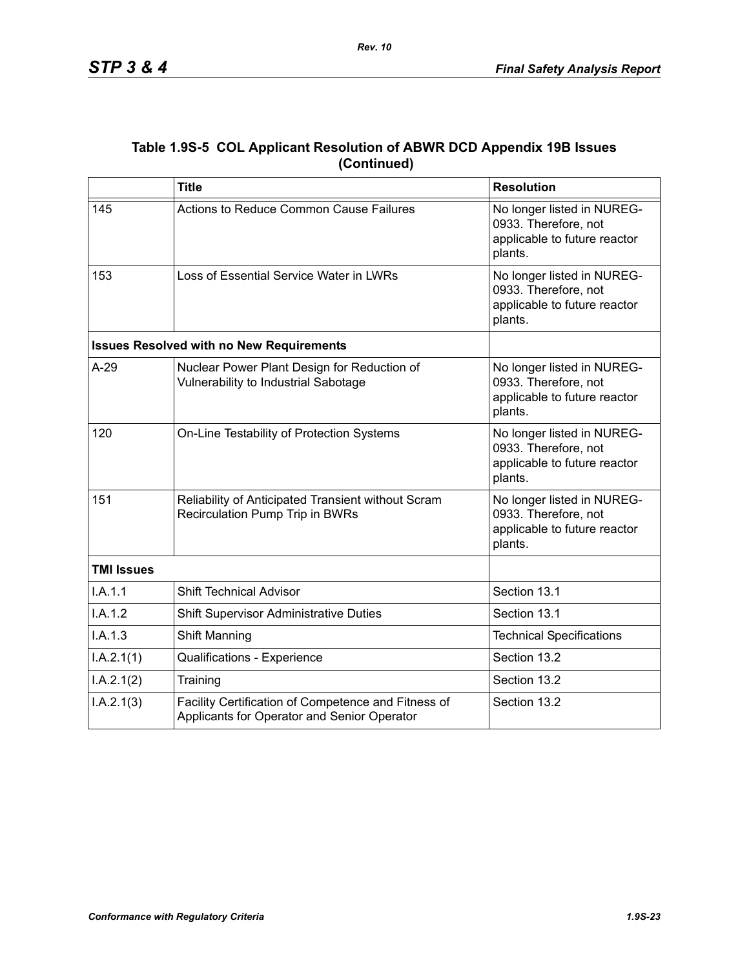| Table 1.9S-5 COL Applicant Resolution of ABWR DCD Appendix 19B Issues |
|-----------------------------------------------------------------------|
| (Continued)                                                           |

|                   | <b>Title</b>                                                                                       | <b>Resolution</b>                                                                             |
|-------------------|----------------------------------------------------------------------------------------------------|-----------------------------------------------------------------------------------------------|
| 145               | Actions to Reduce Common Cause Failures                                                            | No longer listed in NUREG-<br>0933. Therefore, not<br>applicable to future reactor<br>plants. |
| 153               | Loss of Essential Service Water in LWRs                                                            | No longer listed in NUREG-<br>0933. Therefore, not<br>applicable to future reactor<br>plants. |
|                   | <b>Issues Resolved with no New Requirements</b>                                                    |                                                                                               |
| $A-29$            | Nuclear Power Plant Design for Reduction of<br>Vulnerability to Industrial Sabotage                | No longer listed in NUREG-<br>0933. Therefore, not<br>applicable to future reactor<br>plants. |
| 120               | On-Line Testability of Protection Systems                                                          | No longer listed in NUREG-<br>0933. Therefore, not<br>applicable to future reactor<br>plants. |
| 151               | Reliability of Anticipated Transient without Scram<br>Recirculation Pump Trip in BWRs              | No longer listed in NUREG-<br>0933. Therefore, not<br>applicable to future reactor<br>plants. |
| <b>TMI Issues</b> |                                                                                                    |                                                                                               |
| I.A.1.1           | <b>Shift Technical Advisor</b>                                                                     | Section 13.1                                                                                  |
| I.A.1.2           | <b>Shift Supervisor Administrative Duties</b>                                                      | Section 13.1                                                                                  |
| I.A.1.3           | Shift Manning                                                                                      | <b>Technical Specifications</b>                                                               |
| I.A.2.1(1)        | Qualifications - Experience                                                                        | Section 13.2                                                                                  |
| I.A.2.1(2)        | Training                                                                                           | Section 13.2                                                                                  |
| I.A.2.1(3)        | Facility Certification of Competence and Fitness of<br>Applicants for Operator and Senior Operator | Section 13.2                                                                                  |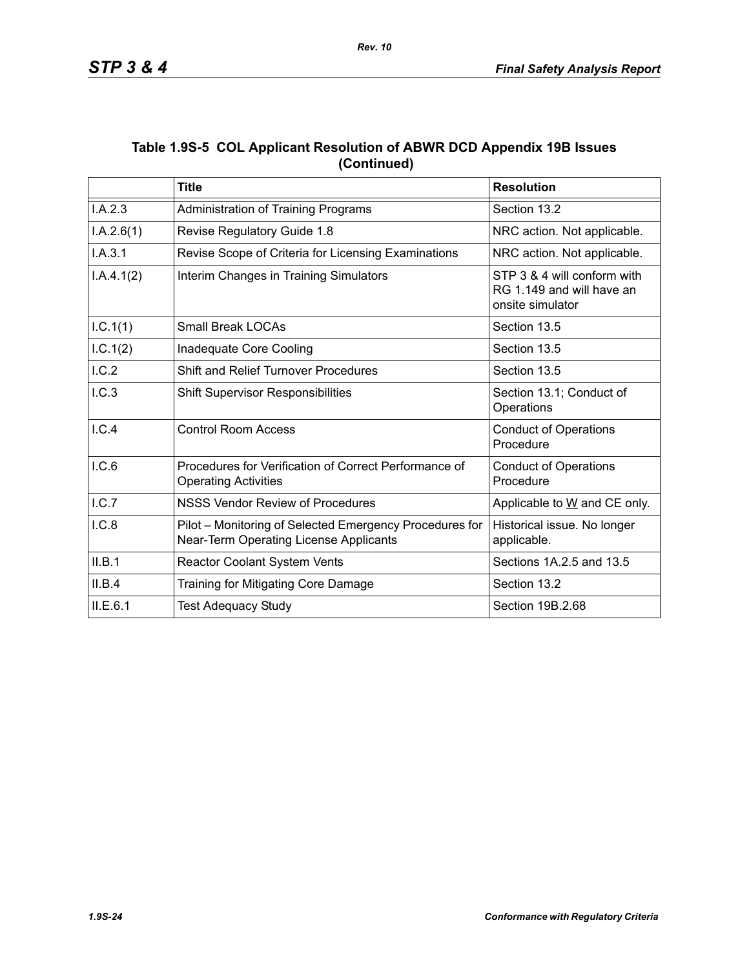| Table 1.9S-5 COL Applicant Resolution of ABWR DCD Appendix 19B Issues |
|-----------------------------------------------------------------------|
| (Continued)                                                           |

|            | <b>Title</b>                                                                                      | <b>Resolution</b>                                                            |
|------------|---------------------------------------------------------------------------------------------------|------------------------------------------------------------------------------|
| I.A.2.3    | Section 13.2<br><b>Administration of Training Programs</b>                                        |                                                                              |
| I.A.2.6(1) | Revise Regulatory Guide 1.8                                                                       | NRC action. Not applicable.                                                  |
| I.A.3.1    | Revise Scope of Criteria for Licensing Examinations                                               | NRC action. Not applicable.                                                  |
| I.A.4.1(2) | Interim Changes in Training Simulators                                                            | STP 3 & 4 will conform with<br>RG 1.149 and will have an<br>onsite simulator |
| I.C.1(1)   | <b>Small Break LOCAs</b>                                                                          | Section 13.5                                                                 |
| 1.C.1(2)   | Section 13.5<br>Inadequate Core Cooling                                                           |                                                                              |
| I.C.2      | <b>Shift and Relief Turnover Procedures</b><br>Section 13.5                                       |                                                                              |
| I.C.3      | <b>Shift Supervisor Responsibilities</b>                                                          | Section 13.1; Conduct of<br>Operations                                       |
| I.C.4      | <b>Control Room Access</b>                                                                        | <b>Conduct of Operations</b><br>Procedure                                    |
| I.C.6      | Procedures for Verification of Correct Performance of<br><b>Operating Activities</b>              | <b>Conduct of Operations</b><br>Procedure                                    |
| I.C.7      | <b>NSSS Vendor Review of Procedures</b>                                                           | Applicable to W and CE only.                                                 |
| I.C.8      | Pilot – Monitoring of Selected Emergency Procedures for<br>Near-Term Operating License Applicants | Historical issue. No longer<br>applicable.                                   |
| II.B.1     | Reactor Coolant System Vents                                                                      | Sections 1A.2.5 and 13.5                                                     |
| II.B.4     | Training for Mitigating Core Damage                                                               | Section 13.2                                                                 |
| II.E.6.1   | <b>Test Adequacy Study</b>                                                                        | Section 19B.2.68                                                             |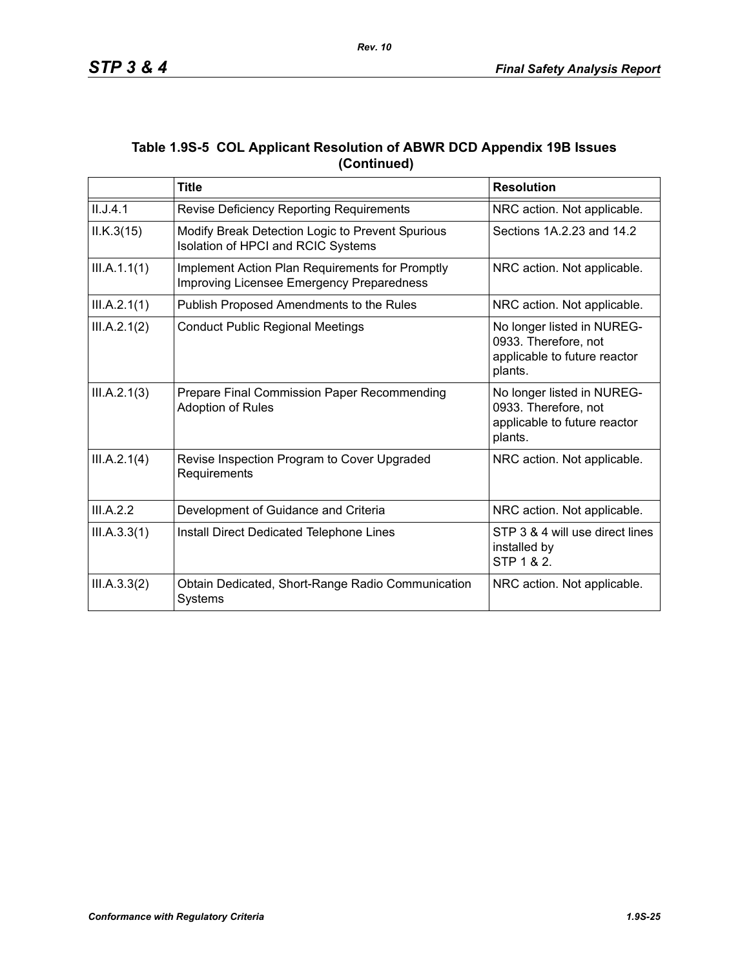| Table 1.9S-5 COL Applicant Resolution of ABWR DCD Appendix 19B Issues |
|-----------------------------------------------------------------------|
| (Continued)                                                           |

|              | <b>Title</b>                                                                                                                             | <b>Resolution</b>                                                                             |
|--------------|------------------------------------------------------------------------------------------------------------------------------------------|-----------------------------------------------------------------------------------------------|
| II.J.4.1     | Revise Deficiency Reporting Requirements<br>NRC action. Not applicable.                                                                  |                                                                                               |
| ILK.3(15)    | Sections 1A.2.23 and 14.2<br>Modify Break Detection Logic to Prevent Spurious<br>Isolation of HPCI and RCIC Systems                      |                                                                                               |
| III.A.1.1(1) | Implement Action Plan Requirements for Promptly<br>NRC action. Not applicable.<br>Improving Licensee Emergency Preparedness              |                                                                                               |
| III.A.2.1(1) | Publish Proposed Amendments to the Rules                                                                                                 | NRC action. Not applicable.                                                                   |
| III.A.2.1(2) | No longer listed in NUREG-<br><b>Conduct Public Regional Meetings</b><br>0933. Therefore, not<br>applicable to future reactor<br>plants. |                                                                                               |
| III.A.2.1(3) | Prepare Final Commission Paper Recommending<br><b>Adoption of Rules</b>                                                                  | No longer listed in NUREG-<br>0933. Therefore, not<br>applicable to future reactor<br>plants. |
| III.A.2.1(4) | Revise Inspection Program to Cover Upgraded<br>NRC action. Not applicable.<br>Requirements                                               |                                                                                               |
| III.A.2.2    | Development of Guidance and Criteria                                                                                                     | NRC action. Not applicable.                                                                   |
| III.A.3.3(1) | Install Direct Dedicated Telephone Lines                                                                                                 | STP 3 & 4 will use direct lines<br>installed by<br>STP 1 & 2.                                 |
| III.A.3.3(2) | Obtain Dedicated, Short-Range Radio Communication<br><b>Systems</b>                                                                      | NRC action. Not applicable.                                                                   |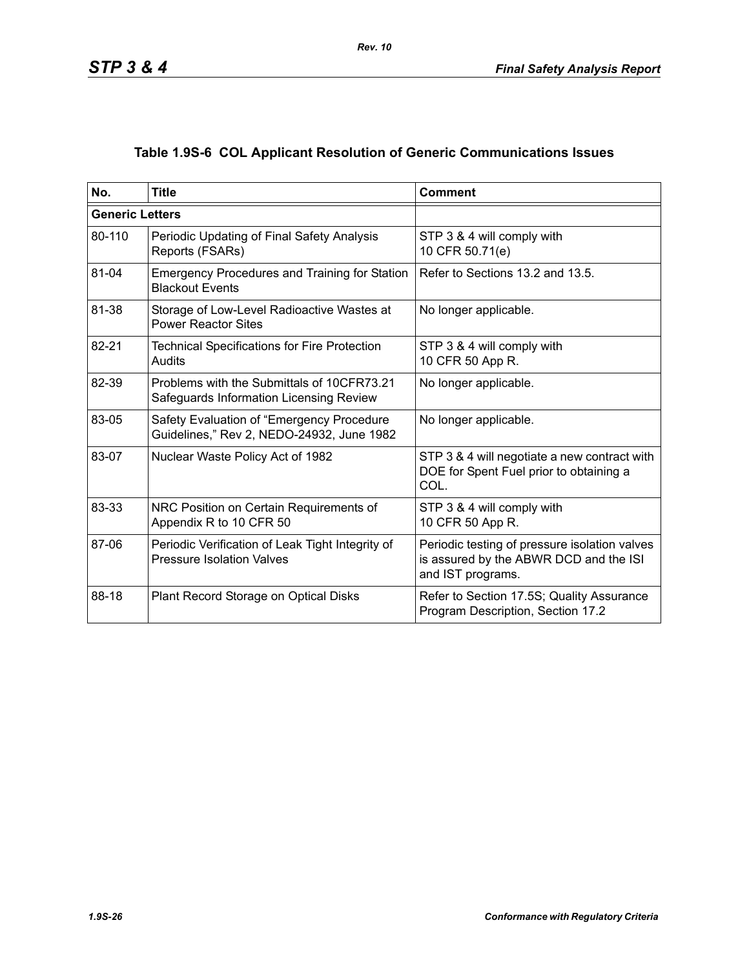# **Table 1.9S-6 COL Applicant Resolution of Generic Communications Issues**

| No.                    | <b>Title</b>                                                                           | <b>Comment</b>                                                                                               |
|------------------------|----------------------------------------------------------------------------------------|--------------------------------------------------------------------------------------------------------------|
| <b>Generic Letters</b> |                                                                                        |                                                                                                              |
| 80-110                 | Periodic Updating of Final Safety Analysis<br>Reports (FSARs)                          | STP 3 & 4 will comply with<br>10 CFR 50.71(e)                                                                |
| 81-04                  | <b>Emergency Procedures and Training for Station</b><br><b>Blackout Events</b>         | Refer to Sections 13.2 and 13.5.                                                                             |
| 81-38                  | Storage of Low-Level Radioactive Wastes at<br><b>Power Reactor Sites</b>               | No longer applicable.                                                                                        |
| 82-21                  | <b>Technical Specifications for Fire Protection</b><br>Audits                          | STP 3 & 4 will comply with<br>10 CFR 50 App R.                                                               |
| 82-39                  | Problems with the Submittals of 10CFR73.21<br>Safeguards Information Licensing Review  | No longer applicable.                                                                                        |
| 83-05                  | Safety Evaluation of "Emergency Procedure<br>Guidelines," Rev 2, NEDO-24932, June 1982 | No longer applicable.                                                                                        |
| 83-07                  | Nuclear Waste Policy Act of 1982                                                       | STP 3 & 4 will negotiate a new contract with<br>DOE for Spent Fuel prior to obtaining a<br>COL.              |
| 83-33                  | NRC Position on Certain Requirements of<br>Appendix R to 10 CFR 50                     | STP 3 & 4 will comply with<br>10 CFR 50 App R.                                                               |
| 87-06                  | Periodic Verification of Leak Tight Integrity of<br><b>Pressure Isolation Valves</b>   | Periodic testing of pressure isolation valves<br>is assured by the ABWR DCD and the ISI<br>and IST programs. |
| 88-18                  | Plant Record Storage on Optical Disks                                                  | Refer to Section 17.5S; Quality Assurance<br>Program Description, Section 17.2                               |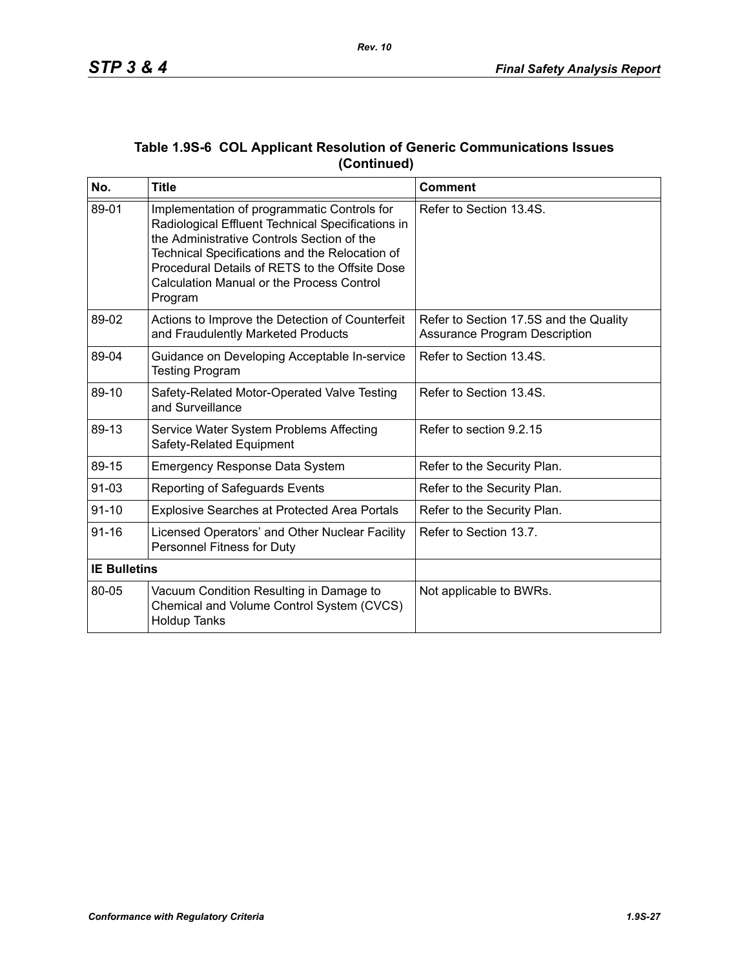| No.                 | <b>Title</b>                                                                                                                                                                                                                                                                                               | <b>Comment</b>                                                          |
|---------------------|------------------------------------------------------------------------------------------------------------------------------------------------------------------------------------------------------------------------------------------------------------------------------------------------------------|-------------------------------------------------------------------------|
| 89-01               | Implementation of programmatic Controls for<br>Radiological Effluent Technical Specifications in<br>the Administrative Controls Section of the<br>Technical Specifications and the Relocation of<br>Procedural Details of RETS to the Offsite Dose<br>Calculation Manual or the Process Control<br>Program | Refer to Section 13.4S.                                                 |
| 89-02               | Actions to Improve the Detection of Counterfeit<br>and Fraudulently Marketed Products                                                                                                                                                                                                                      | Refer to Section 17.5S and the Quality<br>Assurance Program Description |
| 89-04               | Guidance on Developing Acceptable In-service<br><b>Testing Program</b>                                                                                                                                                                                                                                     | Refer to Section 13.4S.                                                 |
| 89-10               | Safety-Related Motor-Operated Valve Testing<br>and Surveillance                                                                                                                                                                                                                                            | Refer to Section 13.4S.                                                 |
| 89-13               | Service Water System Problems Affecting<br>Safety-Related Equipment                                                                                                                                                                                                                                        | Refer to section 9.2.15                                                 |
| 89-15               | <b>Emergency Response Data System</b>                                                                                                                                                                                                                                                                      | Refer to the Security Plan.                                             |
| 91-03               | Reporting of Safeguards Events                                                                                                                                                                                                                                                                             | Refer to the Security Plan.                                             |
| $91 - 10$           | <b>Explosive Searches at Protected Area Portals</b>                                                                                                                                                                                                                                                        | Refer to the Security Plan.                                             |
| $91 - 16$           | Licensed Operators' and Other Nuclear Facility<br>Personnel Fitness for Duty                                                                                                                                                                                                                               | Refer to Section 13.7.                                                  |
| <b>IE Bulletins</b> |                                                                                                                                                                                                                                                                                                            |                                                                         |
| 80-05               | Vacuum Condition Resulting in Damage to<br>Chemical and Volume Control System (CVCS)<br><b>Holdup Tanks</b>                                                                                                                                                                                                | Not applicable to BWRs.                                                 |

### **Table 1.9S-6 COL Applicant Resolution of Generic Communications Issues (Continued)**